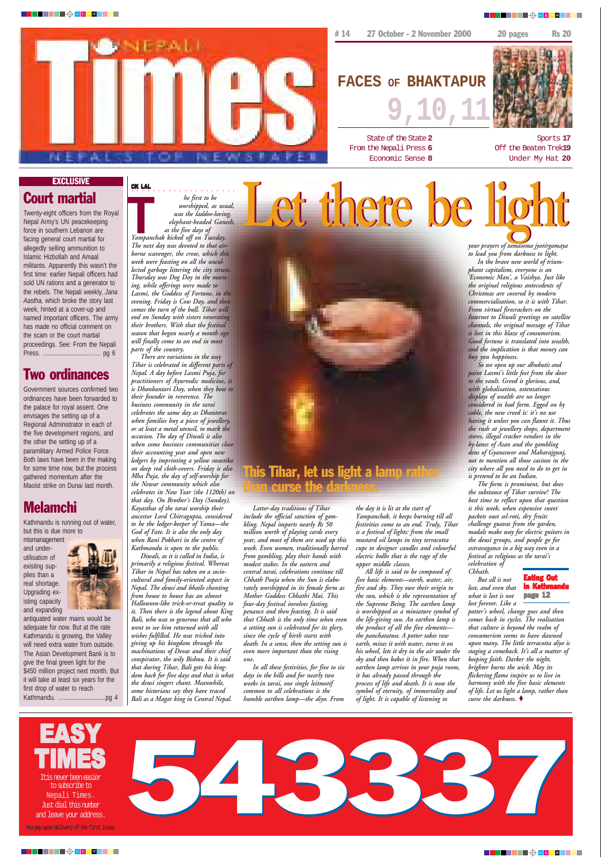#### EXCLUSIVE

**FACES OF BHAKTAPUR**

# 14 27 October - 2 November 2000 20 pages Rs 20

█<mark>█▐▊█▐▊▊▐</mark>▗▗▗▗▗▗▗▗▗▗▗▗▗▗▗▗▗



CK LAL

○○○○○ ○○○○○○○○○○○○○○○

he first to be worshipped, as usual, was the *laddoo-loving*, elephant-headed Ganesh,

as the five days of



Thursday was Dog Day in the morning, while offerings were made to Laxmi, the Goddess of Fortune, in the evening. Friday is Cow Day, and then comes the turn of the bull. Tihar will end on Sunday with sisters venerating their brothers. With that the festival season that began nearly a month ago will finally come to an end in most parts of the country.

There are variations in the way Tihar is celebrated in different parts of Nepal. A day before Laxmi Puja, for practitioners of Ayurvedic medicine, it is Dhanbantari Day, when they bow to their founder in reverence. The business community in the tarai celebrates the same day as Dhanteras when families buy a piece of jewellery, or at least a metal utensil, to mark the occasion. The day of Diwali is also when some business communities close their accounting year and open new ledgers by imprinting a yellow swastika on deep red cloth-covers. Friday is also Mha Puja, the day of self-worship for the Newar community which also celebrates its New Year (the 1120th) on that day. On Brother's Day (Sunday), Kayasthas of the tarai worship their ancestor Lord Chitragupta, considered to be the ledger-keeper of Yama—the God of Fate. It is also the only day when Rani Pokhari in the centre of

Kathmandu is open to the public. Diwali, as it is called in India, is primarily a religious festival. Whereas Tihar in Nepal has taken on a sociocultural and family-oriented aspect in Nepal. The deusi and bhailo chanting om house to house has an almost Halloween-like trick-or-treat quality to it. Then there is the legend about King Bali, who was so generous that all who went to see him returned with all wishes fulfilled. He was tricked into giving up his kingdom through the machinations of Devas and their chief conspirator, the wily Bishnu. It is said that during Tihar, Bali gets his kingdom back for five days and that is what the deusi singers chant. Meanwhile, some historians say they have traced Bali as a Magar king in Central Nepal.

# Let there be light

Latter-day traditions of Tihar include the official sanction of gambling. Nepal imports nearly Rs 50 million worth of playing cards every year, and most of them are used up this week. Even women, traditionally barred from gambling, play their hands with modest stakes. In the eastern and central tarai, celebrations continue till Chhath Pooja when the Sun is elaborately worshipped in its female form as

**curse the dark** 

Mother Goddess Chhathi Mai. This four-day festival involves fasting, penance and then feasting. It is said that Chhath is the only time when even a setting sun is celebrated for its glory, since the cycle of birth starts with death. In a sense, then the setting sun is even more important than the rising one.

In all these festivities, for five to six days in the hills and for nearly two weeks in tarai, one single leitmotif common to all celebrations is the humble earthen lamp—the diyo. From

the day it is lit at the start of Yampanchak, it keeps burning till all festivities come to an end. Truly, Tihar is a festival of lights: from the small mustard oil lamps in tiny terracotta cups to designer candles and colourful electric bulbs that is the rage of the

his Tihar, let us light a lamp rathe

upper middle classes.

All life is said to be composed of five basic elements—earth, water, air, fire and sky. They owe their origin to

the sun, which is the representation of the Supreme Being. The earthen lamp is worshipped as a miniature symbol of the life-giving sun. An earthen lamp is the product of all the five elements the panchatatwa. A potter takes raw earth, mixes it with water, turns it on his wheel, lets it dry in the air under the sky and then bakes it in fire. When that earthen lamp arrives in your puja room, it has already passed through the process of life and death. It is now the symbol of eternity, of immortality and of light. It is capable of listening to

#### Sports **17** Off the Beaten Trek**19** Under My Hat **20**

#### Court martial

Twenty-eight officers from the Royal Nepal Army's UN peacekeeping force in southern Lebanon are facing general court martial for allegedly selling ammunition to Islamic Hizbollah and Amaal militants. Apparently this wasn't the first time: earlier Nepali officers had sold UN rations and a generator to the rebels. The Nepali weekly, Jana Aastha, which broke the story last week, hinted at a cover-up and named important officers. The army has made no official comment on the scam or the court martial proceedings. See: From the Nepali Press. …..........................….. pg 6

#### Two ordinances

Government sources confirmed two ordinances have been forwarded to the palace for royal assent. One envisages the setting up of a Regional Administrator in each of the five development regions, and the other the setting up of a paramilitary Armed Police Force. Both laws have been in the making for some time now, but the process gathered momentum after the Maoist strike on Dunai last month.

### Melamchi

Kathmandu is running out of water, but this is due more to mismanagement

and underutilisation of existing supplies than a real shortage. Upgrading ex-



antiquated water mains would be adequate for now. But at the rate Kathmandu is growing, the Valley will need extra water from outside. The Asian Development Bank is to give the final green light for the \$450 million project next month. But it will take at least six years for the first drop of water to reach Kathmandu. ….........................pg 4

page 12







your prayers of tamasoma jyotirgamaya to lead you from darkness to light.

In the brave new world of triumphant capitalism, everyone is an 'Economic Man', a Vaishya. Just like the original religious antecedents of Christmas are covered by modern commercialisation, so it is with Tihar. From virtual firecrackers on the Internet to Diwali greetings on satellite channels, the original message of Tihar is lost in this blaze of consumerism. Good fortune is translated into wealth, and the implication is that money can buy you happiness.

So we open up our dhukutis and paint Laxmi's little feet from the door to the vault. Greed is glorious, and, with globalisation, ostentatious displays of wealth are no longer considered in bad form. Egged on by cable, the new creed is: it's no use having it unless you can flaunt it. Thus the rush at jewellery shops, department stores, illegal cracker vendors in the by-lanes of Asan and the gambling dens of Gyaneswor and Maharajgunj, not to mention all those casinos in the city where all you need to do to get in is pretend to be an Indian.

The form is prominent, but does the substance of Tihar survive? The best time to reflect upon that question is this week, when expensive sweet packets oust sel-roti, dry fruits challenge guavas from the garden, madals make way for electric guitars in the deusi groups, and people go for extravagance in a big way even in a festival as religious as the tarai's celebration of

Chhath. But all is not

**Eating Out** 

lost, and even that in Kathmandu

what is lost is not lost forever. Like a

potter's wheel, change goes and then comes back in cycles. The realisation that culture is beyond the realm of consumerism seems to have dawned upon many. The little terracotta diyo is staging a comeback. It's all a matter of keeping faith. Darker the night, brighter burns the wick. May its flickering flame inspire us to live in harmony with the five basic elements of life. Let us light a lamp, rather than curse the darkness.



State of the State **2** From the Nepali Press **6** Economic Sense **8**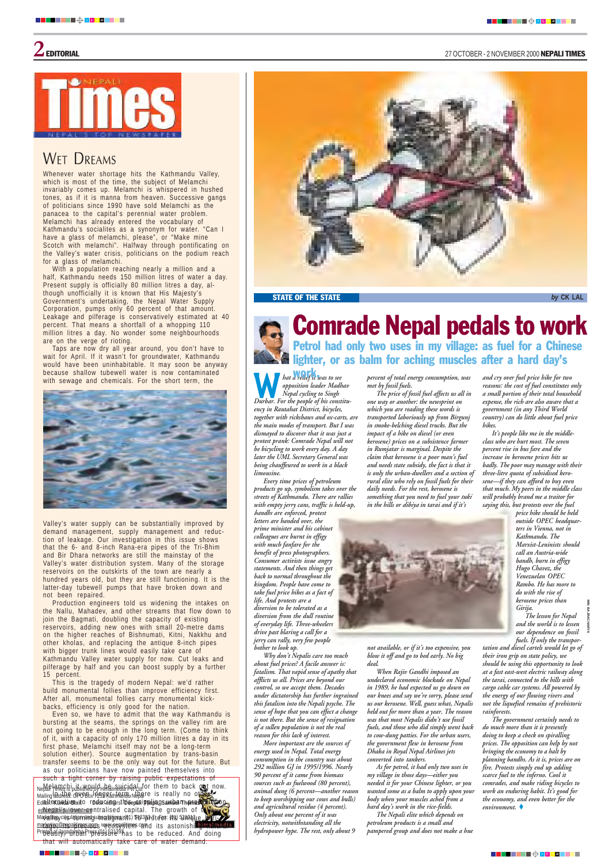**2** EDITORIAL 27 OCTOBER - 2 NOVEMBER 2000 NEPALI TIMES

██████▐<del>▕</del>▏▘▘▘▘▊▊▕▊▐



## WET DREAMS

hat a relief it was to see opposition leader Madhav Nepal cycling to Singh **Durbar a retief it was to see<br>poposition leader Madhav**<br>Durbar. For the people of his constituency in Rautahat District, bicycles, together with rickshaws and ox-carts, are the main modes of transport. But I was dismayed to discover that it was just a protest prank: Comrade Nepal will not be bicycling to work every day. A day later the UML Secretary General was being chauffeured to work in a black limousine.

Every time prices of petroleum products go up, symbolism takes over the streets of Kathmandu. There are rallies with empty jerry cans, traffic is held-up, bandhs are enforced, protest letters are handed over, the prime minister and his cabinet colleagues are burnt in effigy with much fanfare for the benefit of press photographers. Consumer activists issue angry statements. And then thing<mark>s</mark> get back to normal throughout the kingdom. People have come to take fuel price hikes as a fact of life. And protests are a diversion to be tolerated as a diversion from the dull routine of everyday life. Three-wheelers drive past blaring a call for a jerry can rally, very few people bother to look up. Why don't Nepalis care too much about fuel prices? A facile answer is: fatalism. That vapid sense of apathy that afflicts us all. Prices are beyond our control, so we accept them. Decades under dictatorship has further ingrained this fatalism into the Nepali psyche. The sense of hope that you can effect a change is not there. But the sense of resignation of a sullen population is not the real reason for this lack of interest. More important are the sources of energy used in Nepal. Total energy consumption in the country was about 292 million GJ in 1995/1996. Nearly 90 percent of it came from biomass sources such as fuelwood (80 percent), animal dung (6 percent—another reason to keep worshipping our cows and bulls) and agricultural residue (4 percent). Only about one percent of it was electricity, notwithstanding all the hydropower hype. The rest, only about 9

percent of total energy consumption, was met by fossil fuels.

The price of fossil fuel affects us all in one way or another: the newsprint on which you are reading these words is transported laboriously up from Birgunj in smoke-belching diesel trucks. But the impact of a hike on diesel (or even kerosene) prices on a subsistence farmer in Rumjatar is marginal. Despite the claim that kerosene is a poor man's fuel and needs state subsidy, the fact is that it is only the urban-dwellers and a section of rural elite who rely on fossil fuels for their daily needs. For the rest, kerosene is something that you need to fuel your tuki in the hills or dibiya in tarai and if it's



not available, or if it's too expensive, you blow it off and go to bed early. No big deal.

When Rajiv Gandhi imposed an undeclared economic blockade on Nepal in 1989, he had expected us go down on our knees and say we're sorry, please send us our kerosene. Well, guess what, Nepalis held out for more than a year. The reason was that most Nepalis didn't use fossil fuels, and those who did simply went back to cow-dung patties. For the urban users, the government flew in kerosene from Dhaka in Royal Nepal Airlines jets converted into tankers.

As for petrol, it had only two uses in my village in those days—either you needed it for your Chinese lighter, or you wanted some as a balm to apply upon your body when your muscles ached from a hard day's work in the rice-fields.

The Nepali elite which depends on petroleum products is a small and pampered group and does not make a hue and cry over fuel price hike for two reasons: the cost of fuel constitutes only a small portion of their total household expense, the rich are also aware that a government (in any Third World country) can do little about fuel price hikes.

It's people like me in the middleclass who are hurt most. The seven percent rise in bus fare and the increase in kerosene prices hits us badly. The poor may manage with their three-litre quota of subsidised kerosene—if they can afford to buy even that much. My peers in the middle class will probably brand me a traitor for saying this, but protests over the fuel

Nepali Times is published by Himalmedia Pvt Ltd Mailing address: GPO Box 725 y Rathmandu Nepal Editor: **Kunda Dixit** Desk editors: **Deepak Thapa, Samuel Thomas** <u>editors@enepaliton@sreom</u> Mayketingycijculation amdcsupscriptions:n(01) 543383-81 e-ek: (0\$) 5210063 marketing@nepalitimes.com www.nepalitimes.com Priptedat lagadamba Press (91) 521393 has to be reduced. And doing such a tight corner by raising public expectations of Mе<del>la</del>mchi it would be mailedal for them to back out now. laddese opverbylonggrathmen authorie is really no other adte Kunada voeixito reducidig rsthole pa kippa pa gsam bean propries sure op <u>Nespenesalionwesreome</u>ntralised capital. The growth of t**his** vkætiney citsulation ramd guba erling ma n(t)) 5463 på orterek: (t(t) 52 mold <u>ue heriri-</u> tage, <sup>orgen</sup> tages were the system and its astonishing international that will automatically take care of water demand.

█<mark>▊▊▊▊▊▋▕▊</mark>▗▛▅▛▅▗▗▗▗

price hike should be held outside OPEC headquarters in Vienna, not in Kathmandu. The Marxist-Leninists should call an Austria-wide bandh, burn in effigy Hugo Chavez, the Venezuelan OPEC Rambo. He has more to do with the rise of

kerosene prices than Girija.

The lesson for Nepal and the world is to lessen our dependence on fossil fuels. If only the transpor-

tation and diesel cartels would let go of their iron grip on state policy, we should be using this opportunity to look at a fast east-west electric railway along the tarai, connected to the hills with cargo cable car systems. All powered by the energy of our flowing rivers and not the liquefied remains of prehistoric rainforests.

The government certainly needs to do much more than it is presently doing to keep a check on spiralling prices. The opposition can help by not bringing the economy to a halt by planning bandhs. As it is, prices are on fire. Protests simply end up adding scarce fuel to the inferno. Cool it comrades, and make riding bicycles to work an enduring habit. It's good for the economy, and even better for the environment.

Whenever water shortage hits the Kathmandu Valley, which is most of the time, the subject of Melamchi invariably comes up. Melamchi is whispered in hushed tones, as if it is manna from heaven. Successive gangs of politicians since 1990 have sold Melamchi as the panacea to the capital's perennial water problem. Melamchi has already entered the vocabulary of Kathmandu's socialites as a synonym for water. "Can I have a glass of melamchi, please", or "Make mine Scotch with melamchi". Halfway through pontificating on the Valley's water crisis, politicians on the podium reach for a glass of melamchi.

With a population reaching nearly a million and a half, Kathmandu needs 150 million litres of water a day. Present supply is officially 80 million litres a day, although unofficially it is known that His Majesty's Government's undertaking, the Nepal Water Supply Corporation, pumps only 60 percent of that amount. Leakage and pilferage is conservatively estimated at 40 percent. That means a shortfall of a whopping 110 million litres a day. No wonder some neighbourhoods are on the verge of rioting.

Taps are now dry all year around, you don't have to wait for April. If it wasn't for groundwater, Kathmandu would have been uninhabitable. It may soon be anyway because shallow tubewell water is now contaminated with sewage and chemicals. For the short term, the



Valley's water supply can be substantially improved by demand management, supply management and reduction of leakage. Our investigation in this issue shows that the 6- and 8-inch Rana-era pipes of the Tri-Bhim and Bir Dhara networks are still the mainstay of the Valley's water distribution system. Many of the storage reservoirs on the outskirts of the town are nearly a hundred years old, but they are still functioning. It is the latter-day tubewell pumps that have broken down and not been repaired.



**STATE OF THE STATE by** CK LAL

Production engineers told us widening the intakes on the Nallu, Mahadev, and other streams that flow down to join the Bagmati, doubling the capacity of existing reservoirs, adding new ones with small 20-metre dams on the higher reaches of Bishnumati, Kitni, Nakkhu and other kholas, and replacing the antique 8-inch pipes with bigger trunk lines would easily take care of Kathmandu Valley water supply for now. Cut leaks and pilferage by half and you can boost supply by a further 15 percent.

This is the tragedy of modern Nepal: we'd rather build monumental follies than improve efficiency first. After all, monumental follies carry monumental kickbacks, efficiency is only good for the nation.

Even so, we have to admit that the way Kathmandu is bursting at the seams, the springs on the valley rim are not going to be enough in the long term. (Come to think of it, with a capacity of only 170 million litres a day in its first phase, Melamchi itself may not be a long-term solution either). Source augmentation by trans-basin transfer seems to be the only way out for the future. But as our politicians have now painted themselves into

## Petrol had only two uses in my village: as fuel for a Chinese lighter, or as balm for aching muscles after a hard day's Comrade Nepal pedals to work

**MIN BAJRACHARYA**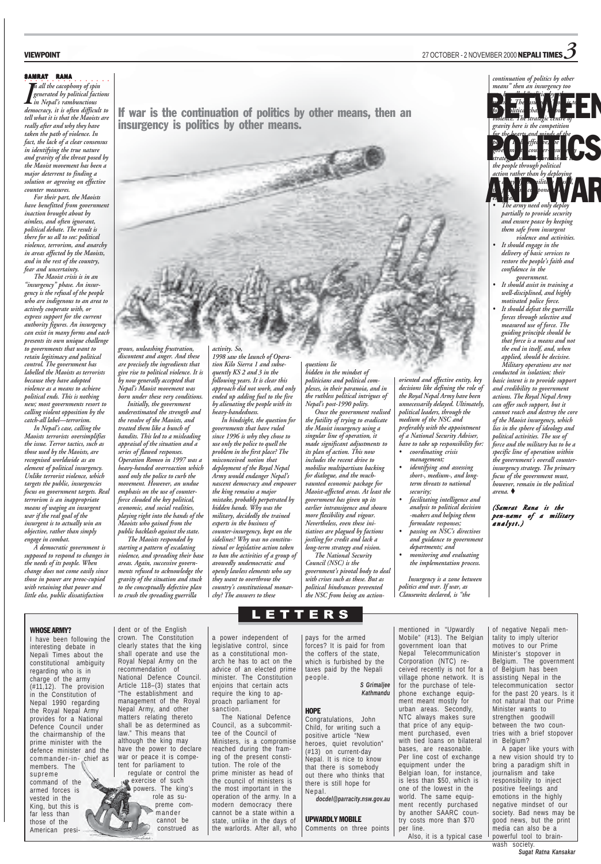#### LETTERS

#### WHOSE ARMY?

I have been following the interesting debate in Nepali Times about the constitutional ambiguity regarding who is in charge of the army (#11,12). The provision in the Constitution of Nepal 1990 regarding the Royal Nepal Army provides for a National Defence Council under the chairmanship of the prime minister with the defence minister and the commander-in- chief as members. The supreme command of the armed forces is vested in the King, but this is far less than those of the American president or of the English crown. The Constitution clearly states that the king shall operate and use the Royal Nepal Army on the recommendation of National Defence Council. Article 118–(3) states that "The establishment and management of the Royal Nepal Army, and other matters relating thereto shall be as determined as law." This means that although the king may have the power to declare war or peace it is competent for parliament to regulate or control the exercise of such powers. The king's role as supreme commander cannot be construed as

#### SAMRAT RANA ○○○○○○○○○○○○○○○○

a power independent of legislative control, since as a constitutional monarch he has to act on the advice of an elected prime minister. The Constitution enjoins that certain acts require the king to approach parliament for sanction.

The National Defence Council, as a subcommittee of the Council of Ministers, is a compromise reached during the framing of the present constitution. The role of the prime minister as head of the council of ministers is the most important in the operation of the army. In a modern democracy there cannot be a state within a state, unlike in the days of the warlords. After all, who pays for the armed forces? It is paid for from the coffers of the state, which is furbished by the taxes paid by the Nepali people.

**S Grimaljee Kathmandu**

#### **HOPE**

Congratulations, John Child, for writing such a positive article "New heroes, quiet revolution" (#13) on current-day Nepal. It is nice to know that there is somebody out there who thinks that there is still hope for Nepal. **docdel@parracity.nsw.gov.au**

#### UPWARDLY MOBILE

Comments on three points

n all the cacophony of spin generated by political factions  $\int_{0}^{\pi}$  all the cacophony of spi $_{in}$   $\int_{0}^{\pi}$  spalling rambunctious<br>democracy it is often diffici democracy, it is often difficult to tell what it is that the Maoists are really after and why they have taken the path of violence. In fact, the lack of a clear consensus in identifying the true nature and gravity of the threat posed by the Maoist movement has been a major deterrent to finding a solution or agreeing on effective counter measures.

> The Maoists responded by starting a pattern of escalating violence, and spreading their base areas. Again, successive governments refused to acknowledge the gravity of the situation and stuck to the conceptually defective plan to crush the spreading guerrilla

For their part, the Maoists have benefitted from government inaction brought about by aimless, and often ignorant, political debate. The result is there for us all to see: political violence, terrorism, and anarchy in areas affected by the Maoists, and in the rest of the country, fear and uncertainty.

The Maoist crisis is in an "insurgency" phase. An insurgency is the refusal of the people who are indigenous to an area to actively cooperate with, or express support for the current authority figures. An insurgency can exist in many forms and each presents its own unique challenge to governments that want to retain legitimacy and political control. The government has labelled the Maoists as terrorists because they have adopted violence as a means to achieve political ends. This is nothing new; most governments resort to calling violent opposition by the catch-all label—terrorism.

> The National Security Council (NSC) is the government's pivotal body to deal with crises such as these. But as political hindrances prevented I the NSC from being an action

VIEWPOINT 27 OCTOBER - 2 NOVEMBER 2000 NEPALI TIMES  $\boldsymbol{\beta}$ 

In Nepal's case, calling the Maoists terrorists oversimplifies the issue. Terror tactics, such as those used by the Maoists, are recognised worldwide as an element of political insurgency. Unlike terrorist violence, which targets the public, insurgencies focus on government targets. Real terrorism is an inappropriate means of waging an insurgent war if the real goal of the insurgent is to actually win an objective, rather than simply engage in combat.

A democratic government is supposed to respond to changes in the needs of its people. When change does not come easily since those in power are preoc-cupied with retaining that power and little else, public dissatisfaction



Initially, the government underestimated the strength and the resolve of the Maoists, and treated them like a bunch of bandits. This led to a misleading appraisal of the situation and a series of flawed responses. Operation Romeo in 1997 was a heavy-handed overreaction which used only the police to curb the movement. However, an undue emphasis on the use of counterforce clouded the key political, economic, and social realities, playing right into the hands of the Maoists who gained from the public backlash against the state.

#### pen-name of a military analyst.)

#### activity. So,

1998 saw the launch of Operation Kilo Sierra 1 and subsequently KS 2 and 3 in the following years. It is clear this approach did not work, and only ended up adding fuel to the fire by alienating the people with its heavy-handedness.

In hindsight, the question for governments that have ruled since 1996 is why they chose to use only the police to quell the problem in the first place? The misconceived notion that deployment of the Royal Nepal Army would endanger Nepal's nascent democracy and empower the king remains a major mistake, probably perpetrated by hidden hands. Why was the military, decidedly the trained experts in the business of counter-insurgency, kept on the sidelines? Why was no constitutional or legislative action taken to ban the activities of a group of avowedly undemocratic and openly lawless elements who say they want to overthrow the country's constitutional monarchy? The answers to these

#### questions lie hidden in the mindset of

politicians and political complexes, in their paranoia, and in the ruthless political intrigues of Nepal's post-1990 polity.

Once the government realised the futility of trying to eradicate the Maoist insurgency using a singular line of operation, it made significant adjustments to its plan of action. This now includes the recent drive to mobilise multipartisan backing for dialogue, and the muchvaunted economic package for Maoist-affected areas. At least the government has given up its earlier intransigence and shown more flexibility and vigour. Nevertheless, even these initiatives are plagued by factions jostling for credit and lack a long-term strategy and vision.

If war is the continuation of politics by other means, then an insurgency is politics by other means.

> oriented and effective entity, key decisions like defining the role of the Royal Nepal Army have been unnecessarily delayed. Ultimately, political leaders, through the medium of the NSC and preferably with the appointment of a National Security Adviser, have to take up responsibility for: • coordinating crisis management;

> > • identifying and assessing short-, medium-, and longterm threats to national

security;

• facilitating intelligence and analysis to political decision -makers and helping them



Insurgency is a zone between politics and war. If war, as Clausewitz declared, is "the

continuation of politics by other means" then an insurgency too

- arena. (Samrat Rana is the
- formulate responses; passing on NSC's directives and guidance to government departments; and
- monitoring and evaluating the implementation process.
- partially to provide security and ensure peace by keeping them safe from insurgent violence and activities.
- It should engage in the delivery of basic services to restore the people's faith and confidence in the
- government. It should assist in training a well-disciplined, and highly motivated police force.
- It should defeat the guerrilla forces through selective and measured use of force. The guiding principle should be that force is a means and not the end in itself, and, when applied, should be decisive.

Military operations are not conducted in isolation; their basic intent is to provide support and credibility to government actions. The Royal Nepal Army can offer such support, but it cannot reach and destroy the core of the Maoist insurgency, which lies in the sphere of ideology and political activities. The use of force and the military has to be a specific line of operation within the government's overall counterinsurgency strategy. The primary focus of the government must, however, remain in the political

mentioned in "Upwardly Mobile" (#13). The Belgian government loan that Nepal Telecommunication Corporation (NTC) received recently is not for a village phone network. It is for the purchase of telephone exchange equipment meant mostly for urban areas. Secondly, NTC always makes sure that price of any equipment purchased, even with tied loans on bilateral bases, are reasonable. Per line cost of exchange equipment under the Belgian loan, for instance, is less than \$50, which is one of the lowest in the world. The same equipment recently purchased by another SAARC country costs more than \$70 per line. Also, it is a typical case

of negative Nepali mentality to imply ulterior motives to our Prime Minister's stopover in Belgium. The government of Belgium has been assisting Nepal in the telecommunication sector for the past 20 years. Is it not natural that our Prime Minister wants to strengthen goodwill between the two countries with a brief stopover in Belgium? A paper like yours with a new vision should try to bring a paradigm shift in journalism and take responsibility to inject positive feelings and emotions in the highly negative mindset of our

society. Bad news may be good news, but the print media can also be a

powerful tool to brainwash society.

**Sugat Ratna Kansakar**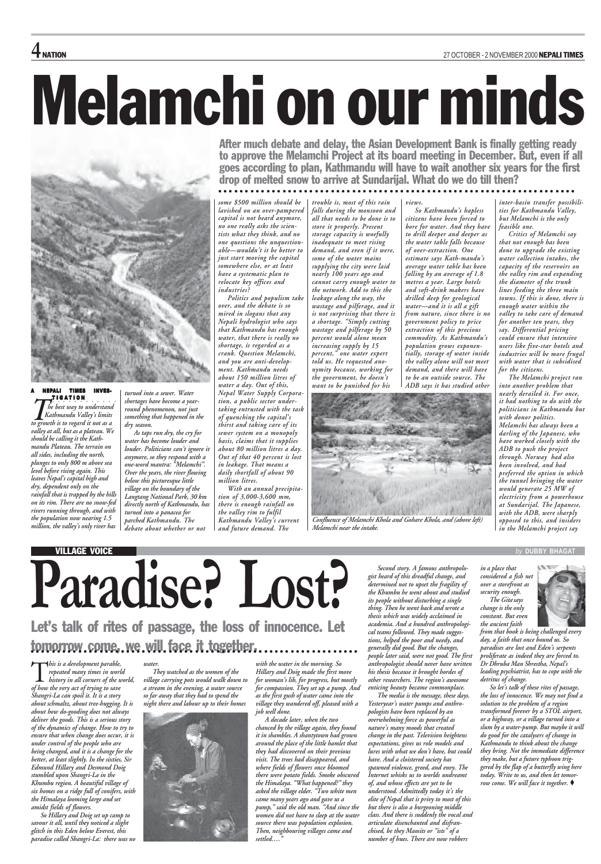## **4** NATION 27 OCTOBER - 2 NOVEMBER 2000 NEPALI TIMES

VILLAGE VOICE by **DUBBY BHAGAT Paradise? Lost?**

his is a development parable,<br>repeated many times in world<br>history in all corners of the u<br>of how the very act of trying to save repeated many times in world history in all corners of the world, of how the very act of trying to save Shangri-La can spoil it. It is a story about schmaltz, about tree-hugging. It is about how do-gooding does not always deliver the goods. This is a serious story of the dynamics of change. How to try to ensure that when change does occur, it is under control of the people who are being changed, and it is a change for the better, at least slightly. In the sixties, Sir Edmund Hillary and Desmond Doig stumbled upon Shangri-La in the Khumbu region. A beautiful village of six homes on a ridge full of conifers, with the Himalaya looming large and set amidst fields of flowers.

Let's talk of rites of passage, the loss of innocence. Let tomorrow come, we will face it together....................

> A decade later, when the two chanced by the village again, they found it in shambles. A shantytown had grown around the place of the little hamlet that they had discovered on their previous visit. The trees had disappeared, and where fields of flowers once bloomed there were potato fields. Smoke obscured the Himalaya. "What happened?" they asked the village elder. "Two white men came many years ago and gave us a pump," said the old man. "And since the women did not have to sleep at the water source there was population explosion. Then, neighbouring villages came and settled….<sup>"</sup>

So Hillary and Doig set up camp to savour it all, until they noticed a slight glitch in this Eden below Everest, this paradise called Shangri-La: there was no

water.

They watched as the women of the village carrying pots would walk down to a stream in the evening, a water source so far away that they had to spend the night there and labour up to their homes



with the water in the morning. So Hillary and Doig made the first move for woman's lib, for progress, but mostly for compassion. They set up a pump. And as the first gush of water came into the village they wandered off, pleased with a job well done.

from that book is being challenged every day, a faith that once bound us. So paradises are lost and Eden's serpents proliferate as indeed they are forced to. Dr Dhruba Man Shrestha, Nepal's leading psychiatrist, has to cope with the detritus of change.

So let's talk of these rites of passage, the loss of innocence. We may not find a solution to the problem of a region transformed forever by a STOL airport, or a highway, or a village turned into a slum by a water-pump. But maybe it will do good for the catalysers of change in Kathmandu to think about the change they bring. Not the immediate difference they make, but a future typhoon triggered by the flap of a butterfly wing here today. Write to us, and then let tomorrow come. We will face it together.  $\blacklozenge$ 

Second story. A famous anthropologist heard of this dreadful change, and determined not to upset the fragility of the Khumbu he went about and studied its people without disturbing a single thing. Then he went back and wrote a thesis which was widely acclaimed in academia. And a hundred anthropological teams followed. They made suggestions, helped the poor and needy, and generally did good. But the changes, people later said, were not good. The first anthropologist should never have written his thesis because it brought hordes of other researchers. The region's awesome enticing beauty became commonplace. The media is the message, these days. Yesteryear's water pumps and anthropologists have been replaced by an overwhelming force as powerful as nature's many moods that created change in the past. Television heightens expectations, gives us role models and lures with what we don't have, but could have. And a cloistered society has spawned violence, greed, and envy. The Internet whisks us to worlds undreamt of, and whose effects are yet to be understood. Admittedly today it's the elite of Nepal that is privy to most of this but there is also a burgeoning middle class. And there is suddenly the vocal and articulate disenchanted and disfranchised, be they Maosits or "ists" of a number of hues. There are now robbers

in a place that considered a fish net over a storefront as



The Gita says change is the only constant. But even the ancient faith

security enough.

A NEPALI TIMES INVES-  $\boldsymbol{h}$   $\boldsymbol{v}$   $\boldsymbol{v}$   $\boldsymbol{v}$   $\boldsymbol{v}$   $\boldsymbol{v}$   $\boldsymbol{v}$   $\boldsymbol{v}$   $\boldsymbol{v}$   $\boldsymbol{v}$   $\boldsymbol{v}$   $\boldsymbol{v}$   $\boldsymbol{v}$   $\boldsymbol{v}$   $\boldsymbol{v}$   $\boldsymbol{v}$   $\boldsymbol{v}$   $\boldsymbol{v}$   $\boldsymbol{v}$   $\boldsymbol{v}$   $\boldsymbol{v}$   $\boldsymbol{v}$   $\boldsymbol{v}$   $\boldsymbol{v}$   $\boldsymbol{$ TIGATION Kathmandu Valley's limits The best way to understand<br>Kathmandu Valley's limits<br>to growth is to regard it not as a valley at all, but as a plateau. We should be calling it the Kathmandu Plateau. The terrain on all sides, including the north, plunges to only 800 m above sea level before rising again. This leaves Nepal's capital high and dry, dependent only on the rainfall that is trapped by the hills on its rim. There are no snow-fed rivers running through, and with the population now nearing 1.5 million, the valley's only river has

turned into a sewer. Water shortages have become a yearround phenomenon, not just something that happened in the dry season.

As taps run dry, the cry for water has become louder and louder. Politicians can't ignore it anymore, so they respond with a one-word mantra: "Melamchi". Over the years, the river flowing below this picturesque little village on the boundary of the Langtang National Park, 30 km directly north of Kathmandu, has turned into a panacea for parched Kathmandu. The debate about whether or not

some \$500 million should be lavished on an over-pampered capital is not heard anymore, no one really asks the scientists what they think, and no one questions the unquestionable—wouldn't it be better to just start moving the capital somewhere else, or at least have a systematic plan to relocate key offices and industries?

Politics and populism take over, and the debate is so mired in slogans that any Nepali hydrologist who says that Kathmandu has enough water, that there is really no shortage, is regarded as a crank. Question Melamchi, and you are anti-development. Kathmandu needs about 150 million litres of water a day. Out of this, Nepal Water Supply Corporation, a public sector undertaking entrusted with the task of quenching the capital's thirst and taking care of its sewer system on a monopoly basis, claims that it supplies about 80 million litres a day. Out of that 40 percent is lost in leakage. That means a daily shortfall of about 90 million litres.

With an annual precipitation of 3,000-3,600 mm, there is enough rainfall on the valley rim to fulfil Kathmandu Valley's current and future demand. The

trouble is, most of this rain falls during the monsoon and all that needs to be done is to store it properly. Present storage capacity is woefully inadequate to meet rising demand, and even if it were, some of the water mains supplying the city were laid nearly 100 years ago and cannot carry enough water to the network. Add to this the leakage along the way, the wastage and pilferage, and it is not surprising that there is a shortage. "Simply cutting wastage and pilferage by 50 percent would alone mean increasing supply by 15 percent," one water expert told us. He requested anonymity because, working for the government, he doesn't want to be punished for his

#### views.

So Kathmandu's hapless citizens have been forced to bore for water. And they have to drill deeper and deeper as the water table falls because of over-extraction. One estimate says Kath-mandu's average water table has been falling by an average of 1.8 metres a year. Large hotels and soft-drink makers have drilled deep for geological water—and it is all a gift from nature, since there is no government policy to price extraction of this precious commodity. As Kathmandu's population grows exponentially, storage of water inside the valley alone will not meet demand, and there will have to be an outside source. The ADB says it has studied other

inter-basin transfer possibilities for Kathmandu Valley, but Melamchi is the only feasible one.

Critics of Melamchi say that not enough has been done to upgrade the existing water collection intakes, the capacity of the reservoirs on the valley rim and expanding the diameter of the trunk lines feeding the three main towns. If this is done, there is enough water within the valley to take care of demand for another ten years, they say. Differential pricing could ensure that intensive users like five-star hotels and industries will be more frugal with water that is subsidised for the citizens.

The Melamchi project ran into another problem that nearly derailed it. For once, it had nothing to do with the politicians in Kathmandu but with donor politics. Melamchi has always been a darling of the Japanese, who have worked closely with the ADB to push the project through. Norway had also been involved, and had preferred the option in which the tunnel bringing the water would generate 25 MW of electricity from a powerhouse at Sundarijal. The Japanese, with the ADB, were sharply opposed to this, and insiders in the Melamchi project say

After much debate and delay, the Asian Development Bank is finally getting ready to approve the Melamchi Project at its board meeting in December. But, even if all goes according to plan, Kathmandu will have to wait another six years for the first drop of melted snow to arrive at Sundarijal. What do we do till then?

# Melamchi on our minds



○○○○○○○○○○○○○○○○○○○ ○○○○○○○○○○○○○○○○○○○○○○○○○○○○○○○○○○○○○○○○○○○○○○○○



Confluence of Melamchi Khola and Gohare Khola, and (above left) Melamchi near the intake.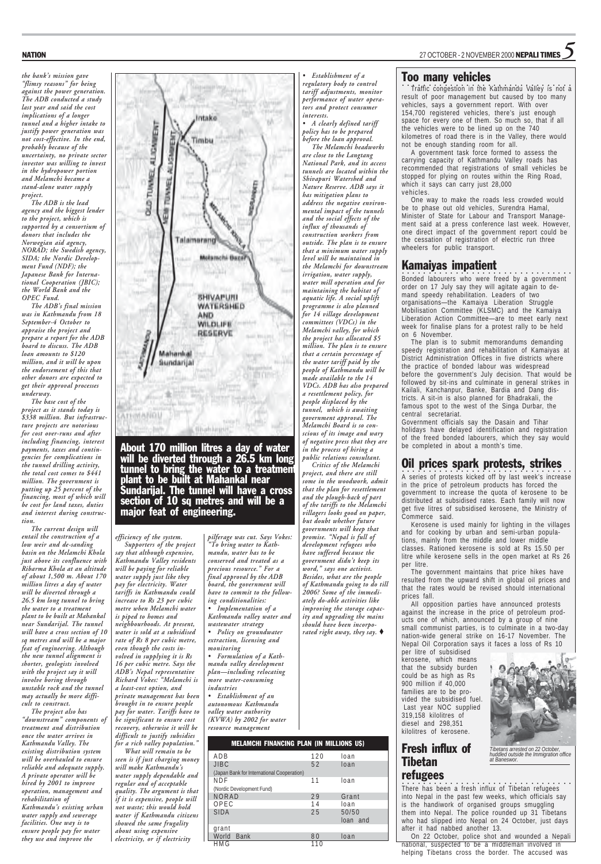the bank's mission gave "flimsy reasons" for being against the power generation. The ADB conducted a study last year and said the cost implications of a longer tunnel and a higher intake to justify power generation was not cost-effective. In the end, probably because of the uncertainty, no private sector investor was willing to invest in the hydropower portion and Melamchi became a stand-alone water supply project.

The ADB is the lead agency and the biggest lender to the project, which is supported by a consortium of donors that includes the Norwegian aid agency, NORAD; the Swedish agency, SIDA; the Nordic Development Fund (NDF); the Japanese Bank for International Cooperation (JBIC); the World Bank and the OPEC Fund.

The ADB's final mission was in Kathmandu from 18 September-4 October to appraise the project and prepare a report for the ADB board to discuss. The ADB loan amounts to \$120 million, and it will be upon the endorsement of this that other donors are expected to get their approval processes underway.

The base cost of the project as it stands today is \$338 million. But infrastructure projects are notorious for cost over-runs and after including financing, interest payments, taxes and contingencies for complications in the tunnel drilling activity, the total cost comes to \$441 million. The government is putting up 25 percent of the financing, most of which will be cost for land taxes, duties and interest during construction.

The current design will entail the construction of a low weir and de-sanding basin on the Melamchi Khola just above its confluence with Ribarma Khola at an altitude of about 1,500 m. About 170 million litres a day of water will be diverted through a 26.5 km long tunnel to bring the water to a treatment plant to be built at Mahankal near Sundarijal. The tunnel will have a cross section of 10 sq metres and will be a major feat of engineering. Although the new tunnel alignment is shorter, geologists involved with the project say it will involve boring through unstable rock and the tunnel may actually be more difficult to construct. The project also has "downstream" components of treatment and distribution once the water arrives in Kathmandu Valley. The existing distribution system will be overhauled to ensure reliable and adequate supply. A private operator will be hired by 2001 to improve operation, management and rehabilitation of Kathmandu's existing urban water supply and sewerage facilities. One way is to ensure people pay for water they use and improve the



 $\cdot$  + Traffic congestion in the Kathmandu Valley is not a result of poor management but caused by too many vehicles, says a government report. With over 154,700 registered vehicles, there's just enough space for every one of them. So much so, that if all the vehicles were to be lined up on the 740 kilometres of road there is in the Valley, there would not be enough standing room for all.

efficiency of the system. Supporters of the project say that although expensive, Kathmandu Valley residents will be paying for reliable water supply just like they pay for electricity. Water

tariffs in Kathmandu could increase to Rs 23 per cubic metre when Melamchi water is piped to homes and neighbourhoods. At present, water is sold at a subsidised rate of Rs 8 per cubic metre, even though the costs involved in supplying it is Rs 16 per cubic metre. Says the ADB's Nepal representative Richard Vokes: "Melamchi is a least-cost option, and private management has been brought in to ensure people pay for water. Tariffs have to be significant to ensure cost recovery, otherwise it will be difficult to justify subsidies for a rich valley population." What will remain to be seen is if just charging money will make Kathmandu's water supply dependable and regular and of acceptable quality. The argument is that if it is expensive, people will not waste; this would hold water if Kathmandu citizens

 $\stackrel{\dots}{\ldots}\stackrel{\dots}{\ldots}\stackrel{\dots}{\ldots}\stackrel{\dots}{\ldots}\stackrel{\dots}{\ldots}\stackrel{\dots}{\ldots}\stackrel{\dots}{\ldots}\stackrel{\dots}{\ldots}\stackrel{\dots}{\ldots}\stackrel{\dots}{\ldots}\stackrel{\dots}{\ldots}\stackrel{\dots}{\ldots}\stackrel{\dots}{\ldots}\stackrel{\dots}{\ldots}\stackrel{\dots}{\ldots}\stackrel{\dots}{\ldots}\stackrel{\dots}{\ldots}\stackrel{\dots}{\ldots}\stackrel{\dots}{\ldots}\stackrel{\dots}{\ldots}\stackrel{\dots}{\ldots}\stackrel{\dots}{\ldots}\stackrel{\dots}{\ldots}\stackrel{\dots}{\ldots}\stackrel{\$ in the price of petroleum products has forced the government to increase the quota of kerosene to be distributed at subsidised rates. Each family will now get five litres of subsidised kerosene, the Ministry of Commerce said.

showed the same frugality about using expensive electricity, or if electricity pilferage was cut. Says Vokes: "To bring water to Kathmandu, water has to be conserved and treated as a precious resource." For a final approval by the ADB board, the government will have to commit to the follow-

ing conditionalities: • Implementation of a Kathmandu valley water and

wastewater strategy

• Policy on groundwater extraction, licensing and monitoring

• Formulation of a Kathmandu valley development plan—including relocating more water-consuming industries

• Establishment of an autonomous Kathmandu valley water authority (KVWA) by 2002 for water resource management

#### Too many vehicles

A government task force formed to assess the carrying capacity of Kathmandu Valley roads has recommended that registrations of small vehicles be stopped for plying on routes within the Ring Road, which it says can carry just 28,000 vehicles.

ately do-able activities like improving the storage capacity and upgrading the mains should have been incorporated right away, they say.

One way to make the roads less crowded would be to phase out old vehicles, Surendra Hamal, Minister of State for Labour and Transport Management said at a press conference last week. However, one direct impact of the government report could be the cessation of registration of electric run three wheelers for public transport.

#### Kamaiyas impatient

○○○○○○○○○○○○○○○○○○○○○○○○○○○○○○○○ Bonded labourers who were freed by a government order on 17 July say they will agitate again to demand speedy rehabilitation. Leaders of two organisations—the Kamaiya Liberation Struggle Mobilisation Committee (KLSMC) and the Kamaiya Liberation Action Committee—are to meet early next week for finalise plans for a protest rally to be held on 6 November.

The plan is to submit memorandums demanding speedy registration and rehabilitation of Kamaiyas at District Administration Offices in five districts where the practice of bonded labour was widespread before the government's July decision. That would be followed by sit-ins and culminate in general strikes in Kailali, Kanchanpur, Banke, Bardia and Dang districts. A sit-in is also planned for Bhadrakali, the famous spot to the west of the Singa Durbar, the central secretariat.

Government officials say the Dasain and Tihar holidays have delayed identification and registration of the freed bonded labourers, which they say would be completed in about a month's time.

#### Oil prices spark protests, strikes

Kerosene is used mainly for lighting in the villages and for cooking by urban and semi-urban populations, mainly from the middle and lower middle classes. Rationed kerosene is sold at Rs 15.50 per litre while kerosene sells in the open market at Rs 26 per litre.

The government maintains that price hikes have resulted from the upward shift in global oil prices and that the rates would be revised should international prices fall. All opposition parties have announced protests against the increase in the price of petroleum products one of which, announced by a group of nine small communist parties, is to culminate in a two-day nation-wide general strike on 16-17 November. The Nepal Oil Corporation says it faces a loss of Rs 10 per litre of subsidised kerosene, which means that the subsidy burden could be as high as Rs 900 million if 40,000 families are to be provided the subsidised fuel. Last year NOC supplied 319,158 kilolitres of diesel and 298,351 kilolitres of kerosene.

#### Fresh influx of Tibetan refugees

○○○○○○○○○○○○○○○○○○○○○○○○○○○○○○○○ There has been a fresh influx of Tibetan refugees into Nepal in the past few weeks, which officials say is the handiwork of organised groups smuggling them into Nepal. The police rounded up 31 Tibetans who had slipped into Nepal on 24 October, just days after it had nabbed another 13.

On 22 October, police shot and wounded a Nepali

national, suspected to be a middleman involved in helping Tibetans cross the border. The accused was

| ADB                                        | 120 | loan     |
|--------------------------------------------|-----|----------|
| <b>JIBC</b>                                | 52  | loan     |
| (Japan Bank for International Cooperation) |     |          |
| NDF                                        | 11  | loan     |
| (Nordic Development Fund)                  |     |          |
| <b>NORAD</b>                               | 29  | Grant    |
| OPEC                                       | 14  | loan     |
| <b>SIDA</b>                                | 25  | 50/50    |
|                                            |     | loan and |
| grant                                      |     |          |
| World<br>Bank                              | 80  | loan     |
| HMG                                        |     |          |

#### MELAMCHI FINANCING PLAN (IN MILLIONS U\$)

• Establishment of a regulatory body to control tariff adjustments, monitor performance of water operators and protect consumer interests.

• A clearly defined tariff policy has to be prepared before the loan approval. The Melamchi headworks

are close to the Langtang National Park, and its access tunnels are located within the Shivapuri Watershed and Nature Reserve. ADB says it has mitigation plans to address the negative environmental impact of the tunnels and the social effects of the influx of thousands of construction workers from outside. The plan is to ensure that a minimum water supply level will be maintained in the Melamchi for downstream irrigation, water supply, water mill operation and for maintaining the habitat of aquatic life. A social uplift programme is also planned for 14 village development committees (VDCs) in the Melamchi valley, for which the project has allocated \$5 million. The plan is to ensure that a certain percentage of the water tariff paid by the people of Kathmandu will be made available to the 14 VDCs. ADB has also prepared a resettlement policy, for people displaced by the tunnel, which is awaiting government approval. The Melamchi Board is so conscious of its image and wary of negative press that they are in the process of hiring a public relations consultant.

Critics of the Melamchi project, and there are still some in the woodwork, admit that the plan for resettlement and the plough-back of part of the tariffs to the Melamchi villagers looks good on paper, but doubt whether future governments will keep that promise. "Nepal is full of development refugees who have suffered because the government didn't keep its word," says one activist. Besides, what are the people of Kathmandu going to do till 2006? Some of the immedi-

About 170 million litres a day of water will be diverted through a 26.5 km long tunnel to bring the water to a treatment plant to be built at Mahankal near Sundarijal. The tunnel will have a cross section of 10 sq metres and will be a major feat of engineering.

#### Tibetans arrested on 22 October, huddled outside the Immigration office at Baneswor.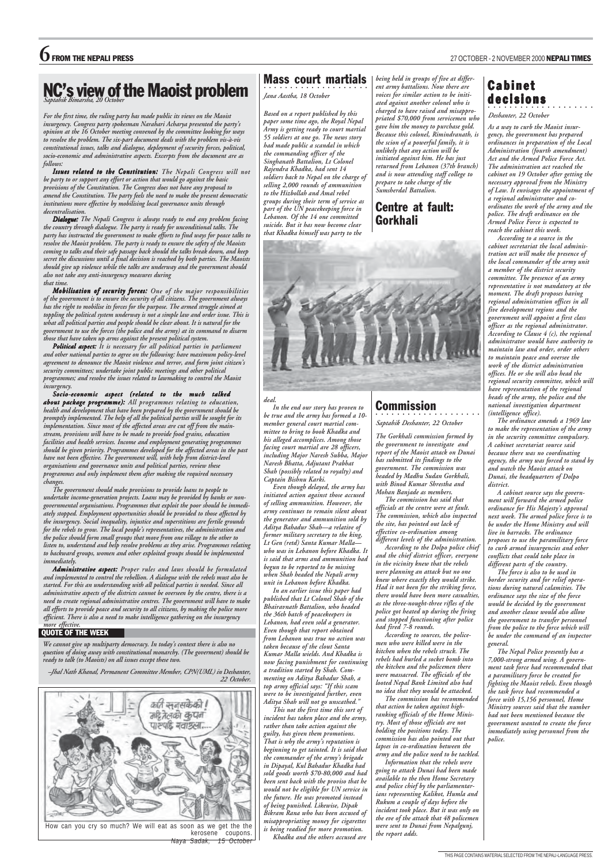# $\left\{\mathbf{NC}_{s}^{'}\right\}$  view of the Maoist problem  $\left\{\left\{\mathbf{S}_{a}^{'}\right\}_{\text{A}^{'}\text{A}}\right\}_{\text{A}^{'}\text{A}}$  ass court martials



We cannot give up multiparty democracy. In today's context there is also no question of doing away with constitutional monarchy. (The goverment) should be ready to talk (to Maoists) on all issues except these two.

–Jhal Nath Khanal, Permanent Committee Member, CPN(UML) in Deshanter, 22 October.

#### QUOTE OF THE WEEK

Issues related to the Constitution: The Nepali Congress will not be party to or support any effort or action that would go against the basic provisions of the Constitution. The Congress does not have any proposal to amend the Constitution. The party feels the need to make the present democratic institutions more effective by mobilising local governance units through decentralisation.

For the first time, the ruling party has made public its views on the Maoist insurgency. Congress party spokesman Narahari Acharya presented the party's opinion at the 16 October meeting convened by the committee looking for ways to resolve the problem. The six-part document deals with the problem vis-à-vis constitutional issues, talks and dialogue, deployment of security forces, political, socio-economic and administrative aspects. Excerpts from the document are as follows:

Dialogue: The Nepali Congress is always ready to end any problem facing the country through dialogue. The party is ready for unconditional talks. The party has instructed the government to make efforts to find ways for peace talks to resolve the Maoist problem. The party is ready to ensure the safety of the Maoists coming to talks and their safe passage back should the talks break down, and keep secret the discussions until a final decision is reached by both parties. The Maoists should give up violence while the talks are underway and the government should also not take any anti-insurgency measures during that time.

Mobilisation of security forces: One of the major responsibilities of the government is to ensure the security of all citizens. The government always has the right to mobilise its forces for the purpose. The armed struggle aimed at toppling the political system underway is not a simple law and order issue. This is what all political parties and people should be clear about. It is natural for the government to use the forces (the police and the army) at its command to disarm those that have taken up arms against the present political system.

Political aspect: It is necessary for all political parties in parliament and other national parties to agree on the following: have maximum policy-level agreement to denounce the Maoist violence and terror, and form joint citizen's security committees; undertake joint public meetings and other political programmes; and resolve the issues related to lawmaking to control the Maoist insurgency.

Administrative aspect: Proper rules and laws should be formulated and implemented to control the rebellion. A dialogue with the rebels must also be started. For this an understanding with all political parties is needed. Since all administrative aspects of the districts cannot be overseen by the centre, there is a need to create regional administrative centres. The government will have to make all efforts to provide peace and security to all citizens, by making the police more efficient. There is also a need to make intelligence gathering on the insurgency more effective.

Socio-economic aspect (related to the much talked about package programme): All programmes relating to education, health and development that have been prepared by the government should be promptly implemented. The help of all the political parties will be sought for its implementation. Since most of the affected areas are cut off from the mainstream, provisions will have to be made to provide food grains, education facilities and health services. Income and employment generating programmes should be given priority. Programmes developed for the affected areas in the past have not been effective. The government will, with help from district-level organisations and governance units and political parties, review these programmes and only implement them after making the required necessary changes.

The government should make provisions to provide loans to people to undertake income-generation projects. Loans may be provided by banks or nongovernmental organisations. Programmes that exploit the poor should be immediately stopped. Employment opportunities should be provided to those affected by the insurgency. Social inequality, injustice and superstitions are fertile grounds for the rebels to grow. The local people's representatives, the administration and the police should form small groups that move from one village to the other to listen to, understand and help resolve problems as they arise. Programmes relating to backward groups, women and other exploited groups should be implemented immediately.

#### ○○○○○○○ ○○○○○○○○○○○○○

Jana Aastha, 18 October

Based on a report published by this paper some time ago, the Royal Nepal Army is getting ready to court martial 55 soldiers at one go. The news story had made public a scandal in which the commanding officer of the Singhanath Battalion, Lt Colonel Rajendra Khadka, had sent 14 soldiers back to Nepal on the charge of selling 2,000 rounds of ammunition to the Hizbollah and Amal rebel groups during their term of service as part of the UN peacekeeping force in Lebanon. Of the 14 one committed suicide. But it has now become clear that Khadka himself was party to the



#### deal.

In the end our story has proven to be true and the army has formed a 10 member general court martial committee to bring to book Khadka and his alleged accomplices. Among those facing court martial are 28 officers, including Major Naresh Subba, Major Naresh Bhatta, Adjutant Prabhat Shah (possibly related to royalty) and Captain Bishnu Karki.

Even though delayed, the army has initiated action against those accused of selling ammunition. However, the army continues to remain silent about the generator and ammunition sold by Aditya Bahadur Shah—a relative of former military secretary to the king, Lt Gen (retd) Santa Kumar Malla who was in Lebanon before Khadka. It is said that arms and ammunition had begun to be reported to be missing when Shah headed the Nepali army unit in Lebanon before Khadka.

In an earlier issue this paper had

published that Lt Colonel Shah of the Bhairavnath Battalion, who headed the 36th batch of peacekeepers in Lebanon, had even sold a generator. Even though that report obtained from Lebanon was true no action was taken because of the clout Santa Kumar Malla wields. And Khadka is now facing punishment for continuing a tradition started by Shah. Commenting on Aditya Bahadur Shah, a top army official says: "If this scam were to be investigated further, even Aditya Shah will not go unscathed." This not the first time this sort of incident has taken place and the army, rather than take action against the guilty, has given them promotions. That is why the army's reputation is beginning to get tainted. It is said that the commander of the army's brigade in Dipayal, Kul Bahadur Khadka had sold goods worth \$70-80,000 and had been sent back with the proviso that he would not be eligible for UN service in the future. He was promoted instead of being punished. Likewise, Dipak Bikram Rana who has been accused of misappropriating money for cigarettes is being readied for more promotion.

Khadka and the others accused are

being held in groups of five at different army battalions. Now there are voices for similar action to be initiated against another colonel who is charged to have raised and misappropriated \$70,000 from servicemen who gave him the money to purchase gold. Because this colonel, Rimindranath, is the scion of a powerful family, it is unlikely that any action will be initiated against him. He has just returned from Lebanon (37th branch) and is now attending staff college to

prepare to take charge of the Sumsherdal Battalion.

Centre at fault:

Gorkhali

○○○○○○○○○○○○○○○○○○○○

#### Commission

Saptahik Deshanter, 22 October

The Gorkhali commission formed by the government to investigate and report of the Maoist attack on Dunai has submitted its findings to the government. The commission was headed by Madhu Sudan Gorkhali, with Binod Kumar Shrestha and Mohan Banjade as members.

The commission has said that officials at the centre were at fault. The commission, which also inspected the site, has pointed out lack of effective co-ordination among different levels of the administration.

According to the Dolpo police chief and the chief district officer, everyone in the vicinity knew that the rebels were planning an attack but no one knew where exactly they would strike. Had it not been for the striking force, there would have been more casu as the three-nought-three rifles of the police got heated up during the firing and stopped functioning after police had fired 7-8 rounds. According to sources, the policemen who were killed were in the kitchen when the rebels struck. The rebels had hurled a socket bomb into the kitchen and the policemen there were massacred. The officials of the looted Nepal Bank Limited also had no idea that they would be attacked. The commission has recommended that action be taken against highranking officials of the Home Ministry. Most of those officials are not holding the positions today. The commission has also pointed out that lapses in co-ordination between the army and the police need to be tackled. Information that the rebels were going to attack Dunai had been made available to the then Home Secretary and police chief by the parliamentarians representing Kalikot, Humla and Rukum a couple of days before the incident took place. But it was only on the eve of the attack that 48 policemen were sent to Dunai from Nepalgunj, the report adds.

#### **Cabinet** ○○○○○○○○○○○○○○○○○○○○ decisions

Deshanter, 22 October

As a way to curb the Maoist insurgency, the government has prepared ordinances in preparation of the Local Administration (fourth amendment) Act and the Armed Police Force Act. The administration act reached the cabinet on 19 October after getting the necessary approval from the Ministry of Law. It envisages the appointment of a regional administrator and coordinates the work of the army and the police. The draft ordinance on the Armed Police Force is expected to reach the cabinet this week.

According to a source in the cabinet secretariat the local administration act will make the presence of the local commander of the army unit a member of the district security committee. The presence of an army representative is not mandatory at the moment. The draft proposes having regional administration offices in all five development regions and the government will appoint a first class officer as the regional administrator. According to Clause 4 (c), the regional administrator would have authority to maintain law and order, order others to maintain peace and oversee the work of the district administration offices. He or she will also head the regional security committee, which will have representation of the regional heads of the army, the police and the national investigation department (intelligence office).

The ordinance amends a 1969 law to make the representation of the army in the security committee compulsory. A cabinet secretariat source said because there was no coordinating agency, the army was forced to stand by and watch the Maoist attack on Dunai, the headquarters of Dolpo district.

A cabinet source says the government will forward the armed police ordinance for His Majesty's approval next week. The armed police force is to be under the Home Ministry and will live in barracks. The ordinance proposes to use the paramilitary force to curb armed insurgencies and other conflicts that could take place in different parts of the country.

The force is also to be used in border security and for relief operations during natural calamities. The ordinance says the size of the force would be decided by the government and another clause would also allow the government to transfer personnel from the police to the force which will be under the command of an inspector general. The Nepal Police presently has a 7,000-strong armed wing. A government task force had recommended that a paramilitary force be created for fighting the Maoist rebels. Even though the task force had recommended a force with 15,156 personnel, Home Ministry sources said that the number had not been mentioned because the government wanted to create the force immediately using personnel from the police.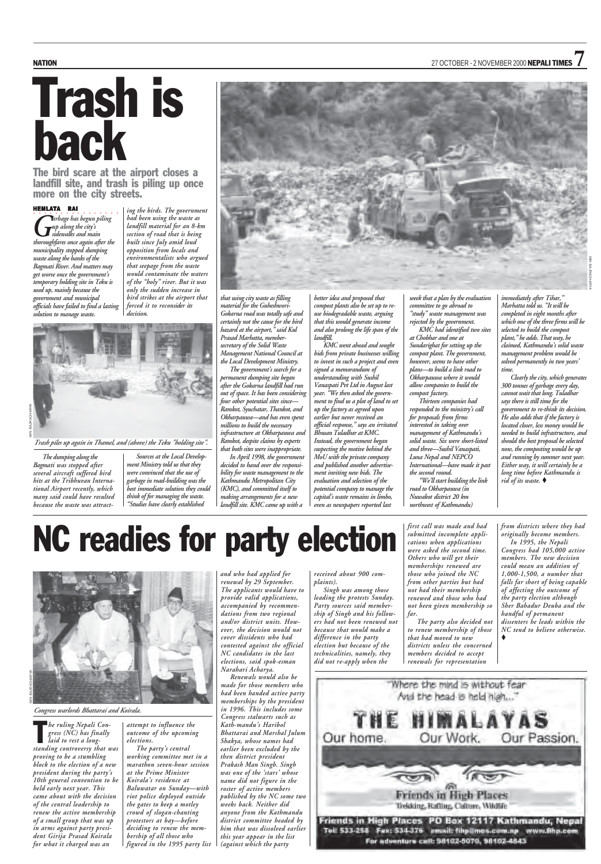# NATION 27 OCTOBER - 2 NOVEMBER 2000 NEPALI TIMES **7**

# Trash is back

#### HEMLA TA RAI ○○○○○○○○○○○○○○○○

arbage has begun piling up along the city's arbage has begun p<br>
along the city's<br>
sidewalks and main<br>
thoroughtares once goain at thoroughfares once again after the municipality stopped dumping waste along the banks of the Bagmati River. And matters may get worse once the government's temporary holding site in Teku is used up, mainly because the government and municipal officials have failed to find a lasting solution to manage waste.

The dumping along the Bagmati was stopped after several aircraft suffered bird hits at the Tribhuvan International Airport recently, which many said could have resulted because the waste was attract-

ing the birds. The government had been using the waste as landfill material for an 8-km section of road that is being built since July amid loud opposition from locals and environmentalists who argued that seepage from the waste would contaminate the waters of the "holy" river. But it was only the sudden increase in bird strikes at the airport that forced it to reconsider its decision.



The government's search for a permanent dumping site began <u>.</u><br>after the Gokarna landfill had run out of space. It has been considering four other potential sites since— Ramkot, Syuchatar, Thankot, and Okharpauwa—and has even spent millions to build the necessary infrastructure at Okharpauwa and Ramkot, despite claims by experts that both sites were inappropriate.

Sources at the Local Development Ministry told us that they were convinced that the use of garbage in road-building was the best immediate solution they could think of for managing the waste. "Studies have clearly established



that using city waste as filling material for the Guheshwori-Gokarna road was totally safe and certainly not the cause for the bird hazard at the airport," said Kul Prasad Marhatta, membersecretary of the Solid Waste Management National Council at the Local Development Ministry.

In April 1998, the government decided to hand over the responsibility for waste management to the Kathmandu Metropolitan City (KMC), and committed itself to making arrangements for a new landfill site. KMC came up with a

Clearly the city, which generates 300 tonnes of garbage every day, cannot wait that long. Tuladhar says there is still time for the government to re-think its decision. He also adds that if the factory is located closer, less money would be needed to build infrastructure, and should the best proposal be selected now, the composting would be up and running by summer next year. Either way, it will certainly be a long time before Kathmandu is rid of its waste.  $\blacklozenge$ 

The bird scare at the airport closes a landfill site, and trash is piling up once more on the city streets.

> better idea and proposed that compost plants also be set up to reuse biodegradable waste, arguing that this would generate income and also prolong the life span of the landfill.

KMC went ahead and sought bids from private businesses willing to invest in such a project and even signed a memorandum of understanding with Sushil Vanaspati Pvt Ltd in August last year. "We then asked the government to find us a plot of land to set up the factory as agreed upon earlier but never received an official response," says an irritated Bhusan Tuladhar at KMC. Instead, the government began suspecting the motive behind the MoU with the private company and published another advertisement inviting new bids. The evaluation and selection of the potential company to manage the capital's waste remains in limbo, even as newspapers reported last

week that a plan by the evaluation committee to go abroad to "study" waste management was rejected by the government.

KMC had identified two sites at Chobhar and one at Sundarighat for setting up the compost plant. The government, however, seems to have other plans—to build a link road to Okharpauwa where it would allow companies to build the compost factory.

Thirteen companies had responded to the ministry's call for proposals from firms interested in taking over management of Kathmandu's solid waste. Six were short-listed and three—Sushil Vanaspati, Luna Nepal and NEPCO International—have made it past the second round. "We'll start building the link

> In 1995, the Nepali Congress had 105,000 active members. The new decision could mean an addition of 1,000-1,500, a number that falls far short of being capable of affecting the outcome of the party election although Sher Bahadur Deuba and the handful of permanent dissenters he leads within the NC tend to believe otherwise. ٠

road to Okharpauwa (in Nuwakot district 20 km northwest of Kathmandu) immediately after Tihar," Marhatta told us. "It will be completed in eight months after which one of the three firms will be selected to build the compost plant," he adds. That way, he claimed, Kathmandu's solid waste management problem would be solved permanently in two years' time.

Trash piles up again in Thamel, and (above) the Teku "holding site".

NC readies for party election

Congress warlords Bhattarai and Koirala.

attempt to influence the outcome of the upcoming elections.

The party's central working committee met in a marathon seven-hour session at the Prime Minister Koirala's residence at Baluwatar on Sunday—with riot police deployed outside the gates to keep a motley crowd of slogan-chanting protestors at bay—before deciding to renew the membership of all those who figured in the 1995 party list

and who had applied for renewal by 29 September. The applicants would have to

provide valid applications, accompanied by recommendations from two regional and/or district units. However, the decision would not cover dissidents who had contested against the official NC candidates in the last elections, said spok-esman Narahari Acharya.

he ruling Nepali Congress (NC) has finally laid to rest a longstanding controversy that was proving to be a stumbling block to the election of a new president during the party's 10th general convention to be held early next year. This came about with the decision of the central leadership to renew the active membership of a small group that was up in arms against party president Girija Prasad Koirala for what it charged was an T

Renewals would also be made for those members who had been handed active party memberships by the president in 1996. This includes some Congress stalwarts such as Kath-mandu's Haribol Bhattarai and Marshal Julum Shakya, whose names had earlier been excluded by the then district president Prakash Man Singh. Singh was one of the 'stars' whose name did not figure in the roster of active members published by the NC some two weeks back. Neither did anyone from the Kathmandu district committee headed by him that was dissolved earlier this year appear in the list (against which the party

received about 900 complaints). Singh was among those

leading the protests Sunday. Party sources said membership of Singh and his followers had not been renewed not because that would make a difference in the party election but because of the technicalities, namely, they did not re-apply when the

first call was made and had submitted incomplete applications when applications were asked the second time. Others who will get their memberships renewed are those who joined the NC from other parties but had not had their membership

renewed and those who had not been given membership so far.

The party also decided not to renew membership of those that had moved to new districts unless the concerned members decided to accept renewals for representation



from districts where they had originally become members.



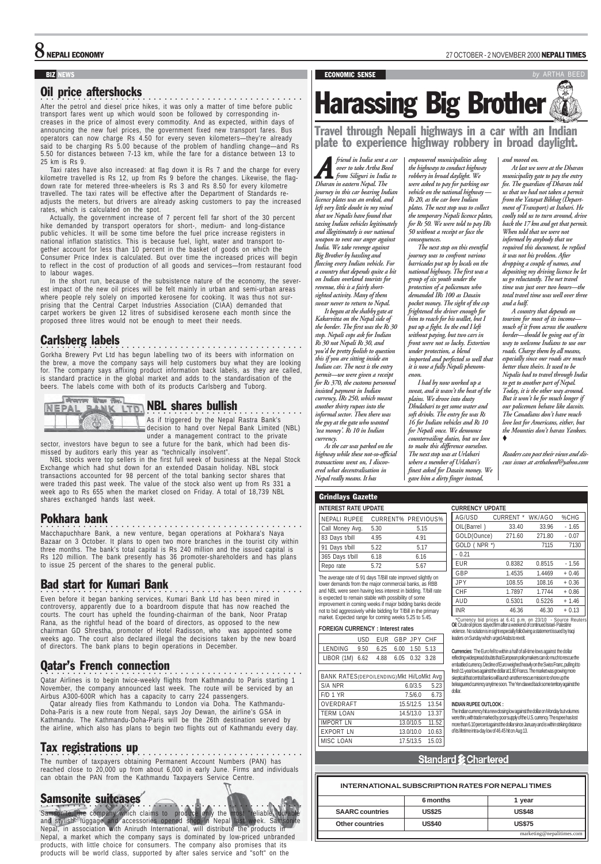# **8** NEPALI ECONOMY 27 OCTOBER - 2 NOVEMBER 2000 NEPALI TIMES

| <b>Standard &amp; Chartered</b>                          |               |               |  |  |  |
|----------------------------------------------------------|---------------|---------------|--|--|--|
| INTERNATIONAL SUBSCRIPTION RATES FOR NEPALI TIMES        |               |               |  |  |  |
| 6 months<br>1 year                                       |               |               |  |  |  |
| <b>SAARC</b> countries                                   | <b>US\$25</b> | <b>US\$48</b> |  |  |  |
| <b>US\$40</b><br><b>US\$75</b><br><b>Other countries</b> |               |               |  |  |  |
| marketing@nepalitimes.com                                |               |               |  |  |  |

#### BIZ NEWS

#### Grindlays Gazette

The average rate of 91 days T/Bill rate improved slightly on lower demands from the major commercial banks, as RBB and NBL were seen having less interest in bidding. T/bill rate is expected to remain stable with possibility of some improvement in coming weeks if major bidding banks decide not to bid aggressively while bidding for T/Bill in the primary market. Expected range for coming weeks 5.25 to 5.45.

| <b>INTEREST RATE UPDATE</b> |      |                           |  |  |  |
|-----------------------------|------|---------------------------|--|--|--|
| NEPALI RUPEE                |      | <b>CURRENT% PREVIOUS%</b> |  |  |  |
| Call Money Avg.             | 5.30 | 5.15                      |  |  |  |
| 83 Days t/bill              | 4.95 | 4.91                      |  |  |  |
| 91 Days t/bill              | 5.22 | 5.17                      |  |  |  |
| 365 Days t/bill             | 6.18 | 6.16                      |  |  |  |
| Repo rate                   | 5.72 | 5.67                      |  |  |  |

|                                         | USD  | EUR GBP JPY CHF     |  |  |
|-----------------------------------------|------|---------------------|--|--|
| LENDING                                 | 9.50 | 6.25 6.00 1.50 5.13 |  |  |
| LIBOR (1M) 6.62  4.88  6.05  0.32  3.28 |      |                     |  |  |

#### **FOREIGN CURRENCY : Interest rates**

| BANK RATES(DEPO/LENDING) Mkt Hi/LoMkt Avg |           |       |  |
|-------------------------------------------|-----------|-------|--|
| S/A NPR                                   | 6.0/3.5   | 5.23  |  |
| $F/D$ 1 $YR$                              | 7.5/6.0   | 6.73  |  |
| OVERDRAFT                                 | 15.5/12.5 | 13.54 |  |
| <b>TERM LOAN</b>                          | 14.5/13.0 | 13.37 |  |
| <b>IMPORT LN</b>                          | 13.0/10.5 | 11.52 |  |
| <b>EXPORT LN</b>                          | 13.0/10.0 | 10.63 |  |
| <b>MISC LOAN</b>                          | 17.5/13.5 | 15.03 |  |

friend in India sent a car over to take Artha Beed friend in India sent a cas<br>over to take Artha Beed<br>from Siliguri in India to<br>Dharan in eastern Nepal The Dharan in eastern Nepal. The journey in this car bearing Indian licence plates was an ordeal, and left very little doubt in my mind that we Nepalis have found that taxing Indian vehicles legitimately and illegitimately is our national weapon to vent our anger against India. We take revenge against Big Brother by hassling and fleecing every Indian vehicle. For a country that depends quite a bit on Indian overland tourists for revenue, this is a fairly shortsighted activity. Many of them swear never to return to Nepal.

It began at the shabby gate at Kakarvitta on the Nepal side of the border. The first was the Rs 30 stop. Nepali cops ask for Indian Rs 30 not Nepali Rs 30, and you'd be pretty foolish to question this if you are sitting inside an Indian car. The next is the entry permit—we were given a receipt for Rs 370, the customs personnel insisted payment in Indian currency, IRs 250, which meant another thirty rupees into the informal sector. Then there was the guy at the gate who wanted 'tea money'. Rs 10 in Indian currency.

A country that depends on tourism for most of its income much of it from across the southern border—should be going out of its way to welcome Indians to use our roads. Charge them by all means, especially since our roads are much better than theirs. It used to be Nepalis had to travel through India to get to another part of Nepal. Today, it is the other way around. But it won't be for much longer if our policemen behave like dacoits. The Canadians don't have much love lost for Americans, either, but the Mounties don't harass Yankees. ٠

As the car was parked on the highway while these not-so-official transactions went on, I discovered what decentralisation in Nepal really means. It has

empowered municipalities along the highways to conduct highway robbery in broad daylight. We were asked to pay for parking our vehicle on the national highway — Rs 20, as the car bore Indian plates. The next stop was to collect the temporary Nepali licence plates, for Rs 50. We were told to pay IRs 50 without a receipt or face the consequences.

The next stop on this eventful journey was to confront various barricades put up by locals on the national highway. The first was a group of six youth under the protection of a policeman who demanded IRs 100 as Dasain pocket money. The sight of the cop frightened the driver enough for him to reach for his wallet, but I put up a fight. In the end I left without paying, but two cars in front were not so lucky. Extortion under protection, a blend imported and perfected so well that it is now a fully Nepali phenomenon.

I had by now worked up a sweat, and it wasn't the heat of the plains. We drove into dusty Dhulabari to get some water and soft drinks. The entry fee was Rs 16 for Indian vehicles and Rs 10 for Nepali once. We denounce countervailing duties, but we love to make this difference ourselves. The next stop was at Urlabari where a member of Urlabari's finest asked for Dasain money. We gave him a dirty finger instead,

and moved on.

At last we were at the Dharan municipality gate to pay the entry fee. The guardian of Dharan told us that we had not taken a permit from the Yatayat Bibhag (Department of Transport) at Itahari. He coolly told us to turn around, drive back the 17 km and get that permit. When told that we were not informed by anybody that we required this document, he replied it was not his problem. After dropping a couple of names, and depositing my driving licence he let us go reluctantly. The net travel time was just over two hours—the total travel time was well over three and a half.

Readers can post their views and discuss issues at arthabeed@yahoo.com

| <b>CURRENCY UPDATE</b> |                  |        |         |  |  |  |  |
|------------------------|------------------|--------|---------|--|--|--|--|
| AG/USD                 | CURRENT * WK/AGO |        | %CHG    |  |  |  |  |
| OIL(Barrel)            | 33.40            | 33.96  | $-1.65$ |  |  |  |  |
| GOLD(Ounce)            | 271.60           | 271.80 | $-0.07$ |  |  |  |  |
| GOLD (NPR *)           |                  | 7115   | 7130    |  |  |  |  |
| $-0.21$                |                  |        |         |  |  |  |  |
| <b>EUR</b>             | 0.8382           | 0.8515 | $-1.56$ |  |  |  |  |
| GBP                    | 1.4535           | 1.4469 | $+0.46$ |  |  |  |  |
| JPY                    | 108.55           | 108.16 | $+0.36$ |  |  |  |  |
| CHF                    | 1.7897           | 1.7744 | $+0.86$ |  |  |  |  |

| AUD        | 0.5301 | 0.5226 | $+1.46$ |
|------------|--------|--------|---------|
| <b>INR</b> | 46.36  | 46.30  | $+0.13$ |

# Harassing Big Brother

Travel through Nepali highways in a car with an Indian plate to experience highway robbery in broad daylight.

> \*Currency bid prices at 6.41 p.m. on 23/10 - Source Reuters **Oil**: Crude oil prices stayed firm after a weekend of continued Israel- Palestine violence. No solution is in sight especially follo0wing a statement issued by Iraqi leaders on Sunday whcih urged Arabs to revolt.

**Currencies**: The Euro fell to within a half of all-time lows against the dollar reflecting widespread doubts that European policymakers can do much to rescue the embattled currency. Decline of Euro weighed heavily on the Swiss Franc, pulling it to fresh 11-year lows against the dollar at 1.80 Francs. The market was growing more skeptical that central banks will launch another rescue mission to shore up the beleaguered currency anytime soon. The Yen clawed back some territory against the dollar.

Samsonite, the company which claims to produce only the most "reliable, durable and stylish" luggage and accessories opened shop in Nepal last week. Samsonite Nepal, in association with Anirudh International, will distribute the products in Nepal, a market which the company says is dominated by low-priced unbranded products, with little choice for consumers. The company also promises that its products will be world class, supported by after sales service and "soft" on the

#### **INDIAN RUPEE OUTLOOK :**

The Indian currency hit a new closing low against the dollar on Monday but volumes were thin, with trade marked by poor supply of the U.S. currency. The rupee has lost more than 6.10 percent against the dollar since January and is within striking distance of its lifetime intra-day low of 46.45 hit on Aug 13.

#### Oil price aftershocks

○○○○○○○○○○○○○○○○ ○○○○○○○○○○○○○○○○○○○○○○○○○○○○○○○○○ After the petrol and diesel price hikes, it was only a matter of time before public transport fares went up which would soon be followed by corresponding increases in the price of almost every commodity. And as expected, within days of announcing the new fuel prices, the government fixed new transport fares. Bus operators can now charge Rs 4.50 for every seven kilometers—they're already said to be charging Rs 5.00 because of the problem of handling change—and Rs 5.50 for distances between 7-13 km, while the fare for a distance between 13 to 25 km is Rs 9.

Taxi rates have also increased: at flag down it is Rs 7 and the charge for every kilometre travelled is Rs 12, up from Rs 9 before the changes. Likewise, the flagdown rate for metered three-wheelers is Rs 3 and Rs 8.50 for every kilometre travelled. The taxi rates will be effective after the Department of Standards readjusts the meters, but drivers are already asking customers to pay the increased rates, which is calculated on the spot.

Actually, the government increase of 7 percent fell far short of the 30 percent hike demanded by transport operators for short-, medium- and long-distance public vehicles. It will be some time before the fuel price increase registers in national inflation statistics. This is because fuel, light, water and transport together account for less than 10 percent in the basket of goods on which the Consumer Price Index is calculated. But over time the increased prices will begin to reflect in the cost of production of all goods and services—from restaurant food to labour wages.

In the short run, because of the subsistence nature of the economy, the severest impact of the new oil prices will be felt mainly in urban and semi-urban areas where people rely solely on imported kerosene for cooking. It was thus not surprising that the Central Carpet Industries Association (CIAA) demanded that carpet workers be given 12 litres of subsidised kerosene each month since the proposed three litres would not be enough to meet their needs.

#### Carlsberg labels

○○○○○○○○○○○○○○○○ ○○○○○○○○○○○○○○○○○○○○○○○○○○○○○○○○○ Gorkha Brewery Pvt Ltd has begun labelling two of its beers with information on the brew, a move the company says will help customers buy what they are looking for. The company says affixing product information back labels, as they are called, is standard practice in the global market and adds to the standardisation of the beers. The labels come with both of its products Carlsberg and Tuborg.

#### NBL shares bullish



As if triggered by the Nepal Rastra Bank's decision to hand over Nepal Bank Limited (NBL) under a management contract to the private

sector, investors have begun to see a future for the bank, which had been dismissed by auditors early this year as "technically insolvent".

NBL stocks were top sellers in the first full week of business at the Nepal Stock Exchange which had shut down for an extended Dasain holiday. NBL stock transactions accounted for 98 percent of the total banking sector shares that were traded this past week. The value of the stock also went up from Rs 331 a week ago to Rs 655 when the market closed on Friday. A total of 18,739 NBL shares exchanged hands last week.

#### Pokhara bank

○○○○○○○○○○○○○○○○ ○○○○○○○○○○○○○○○○○○○○○○○○○○○○○○○○○

Macchapuchhare Bank, a new venture, began operations at Pokhara's Naya Bazaar on 3 October. It plans to open two more branches in the tourist city within three months. The bank's total capital is Rs 240 million and the issued capital is Rs 120 million. The bank presently has 36 promoter-shareholders and has plans to issue 25 percent of the shares to the general public.

#### Bad start for Kumari Bank

**ECONOMIC SENSE by ARTHA BEED** 

○○○○○○○○○○○○○○○○ ○○○○○○○○○○○○○○○○○○○○○○○○○○○○○○○○○

Even before it began banking services, Kumari Bank Ltd has been mired in controversy, apparently due to a boardroom dispute that has now reached the courts. The court has upheld the founding-chairman of the bank, Noor Pratap Rana, as the rightful head of the board of directors, as opposed to the new chairman GD Shrestha, promoter of Hotel Radisson, who was appointed some weeks ago. The court also declared illegal the decisions taken by the new board of directors. The bank plans to begin operations in December.

#### Qatar's French connection ○○○○○○○○○○○○○○○○ ○○○○○○○○○○○○○○○○○○○○○○○○○○○○○○○○○

Qatar Airlines is to begin twice-weekly flights from Kathmandu to Paris starting 1 November, the company announced last week. The route will be serviced by an Airbus A300-600R which has a capacity to carry 224 passengers.

Qatar already flies from Kathmandu to London via Doha. The Kathmandu-Doha-Paris is a new route from Nepal, says Joy Dewan, the airline's GSA in Kathmandu. The Kathmandu-Doha-Paris will be the 26th destination served by the airline, which also has plans to begin two flights out of Kathmandu every day.

○○○○○○○○○○○○○○○○ ○○○○○○○○○○○○○○○○○○○○○○○○○○○○○○○○○

#### Samsonite suitcases

#### Tax registrations up

The number of taxpayers obtaining Permanent Account Numbers (PAN) has reached close to 20,000 up from about 6,000 in early June. Firms and individuals can obtain the PAN from the Kathmandu Taxpayers Service Centre.

○○○○○○○○○○○○○○○○ ○○○○○○○○○○○○○○○○○○○○○○○○○○○○○○○○○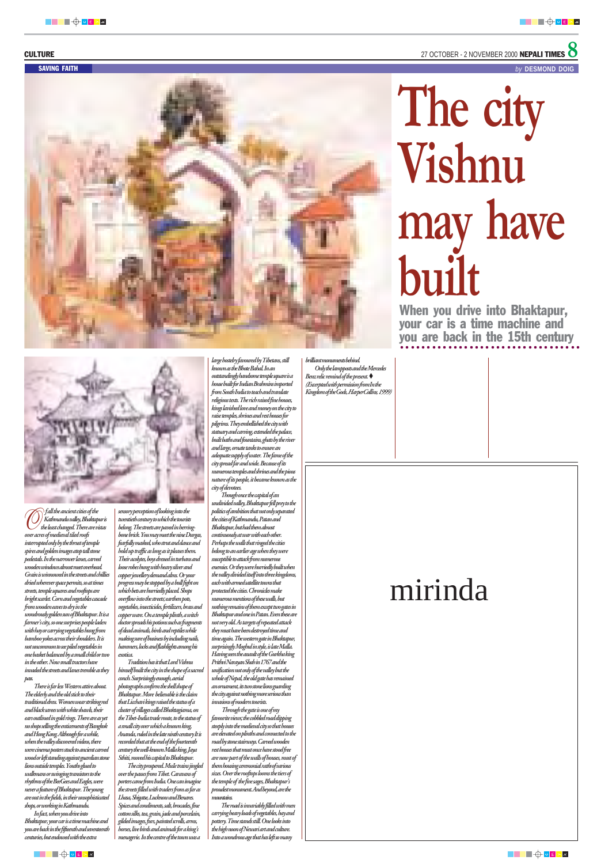#### CULTURE 27 OCTOBER - 2 NOVEMBER 2000 NEPALI TIMES **8**

SAVING FAITH by **DESMOND DOIG**



 $\setminus$  fall the ancient cities of the Kathmandu valley, Bhaktapur is  $^\prime$  the least changed. There are vistas over acres of median and the discussion of the least changed. There,<br>over acres of medieval tiled roofs<br>over acres of medieval tiled roofs interrupted only by the thrust of temple spires and golden images atop tall stone pedestals. In the narrower lanes, carved wooden windows almost meet overhead. Grain is winnowed in the streets and chillies dried wherever space permits, so at times streets, temple squares and rooftops are bright scarlet. Corn and vegetables cascade from wooden eaves to dry in the wondrously golden sun of Bhaktapur. It is a farmer's city, so one surprises people laden with hay or carrying vegetables hung from bamboo yokes across their shoulders. It is not uncommon to see piled vegetables in one basket balanced by a small child or two in the other. Now small tractors have invaded the streets and lanes tremble as they pass. There is far less Western attire about. The elderly and the old stick to their traditional dress. Women wear striking red and black sarees with white shawls, their ears outlined in gold rings. There are as yet no shops selling the enticements of Bangkok and Hong Kong. Although for a while, when the valley discovered videos, there were cinema posters stuck to ancient carved wood or left standing against guardian stone lions outside temples. Youths glued to walkmans or swinging transistors to the rhythms of the BeeGees and Eagles, were never a feature of Bhaktapur. The young are out in the fields, in their unsophisticated shops, or working in Kathmandu. In fact, when you drive into Bhaktapur, your car is a time machine and you are back in the fifteenth and seventeenth

centuries, but endowed with the extra





sensory perception of looking into the twentieth century to which the tourists belong. The streets are paved in herringbone brick. You may meet the nine Durgas, fearfully masked, who strut and dance and hold up traffic as long as it pleases them. Their acolytes, boys dressed in turbans and loose robes hung with heavy silver and copper jewellery demand alms. Or your progress may be stopped by a bull fight on which bets are hurriedly placed. Shops overflow into the streets; earthen pots, vegetables, insecticides, fertilizers, brass and copper ware. On a temple plinth, a witch doctor spreads his potions such as fragments of dead animals, birds and reptiles while making sure of business by including nails, hammers, locks and flashlights among his exotica. Tradition has it that Lord Vishnu himself built the city in the shape of a sacred conch. Surprisingly enough, aerial photographs confirm the shell shape of Bhaktapur. More believable is the claim that Licchavi kings raised the status of a cluster of villages called Bhaktagiama, on the Tibet-India trade route, to the status of a small city over which a known king, Ananda, ruled in the late ninth century It is recorded that at the end of the fourteenth century the well-known Malla king, Jaya Sthiti, moved his capital to Bhaktapur. The city prospered. MuIe trains jingled over the passes from Tibet. Caravans of porters came from India. One can imagine the streets filled with traders from as far as Lhasa, Shigatse, Lucknow and Benares. Spices and condiments, salt, brocades, fine cotton silks, tea, grain, jade and porcelain, gilded images, furs, painted scrolls, arms, horses, live birds and animals for a king's menagerie. In the centre of the town was a

large hostelry favoured by Tibetans, still known as the Bhote Bahal. In an outstandingly handsome temple square is a house built for Indian Brahmins imported from South India to teach and translate religious texts. The rich raised fine houses, kings lavished love and money on the city to raise temples, shrines and rest houses for pilgrims. They embellished the city with statuary and carving, extended the palace, built baths and fountains, ghats by the river and large, ornate tanks to ensure an adequate supply of water. The fame of the city spread far and wide. Because of its numerous temples and shrines and the pious nature of its people, it became known as the city of devotees.

Though once the capital of an undivided valley, Bhaktapur fell prey to the politics of ambition that not only separated the cities of Kathmandu, Patan and Bhaktapur, but had them almost continuously at war with each other. Perhaps the walls that ringed the cities belong to an earlier age when they were susceptible to attack from numerous enemies. Or they were hurriedly built when the valley divided itself into three kingdoms, each with armed satellite towns that protected the cities. Chronicles make numerous mentions of these walls, but nothing remains of them except two gates in Bhaktapur and one in Patan. Even these are not very old. As targets of repeated attack they must have been destroyed time and time again. The western gate in Bhaktapur, surprisingly Moghul in style, is late Malla. Having seen the assault of the Gurkha king Prithvi Narayan Shah in 1767 and the unification not only of the valley but the whole of Nepal, the old gate has remained an ornament, its two stone lions guarding the city against nothing more serious than invasions of modern tourists. Through the gate is one of my favourite views; the cobbled road dipping steeply into the medieval city so that houses are elevated on plinths and connected to the road by stone stairways. Carved wooden rest houses that must once have stood free are now part of the walls of houses, most of them housing ceremonial raths of various sizes. Over the rooftops looms the tiers of the temple of the five sages, Bhaktapur's proudest monument. And beyond, are the mountains. The road is invariably filled with men carrying heavy loads of vegetables, hay and pottery. Time stands still. One looks into the high noon of Newari art and culture. Into a wondrous age that has left so many

brilliant monuments behind. Only the lampposts and the Mercedes Benz relic remind of the present. (Excerpted with permission from In the Kingdom of the Gods, HarperCollins, 1999)

# mirinda



When you drive into Bhaktapur, your car is a time machine and you are back in the 15th century ○○○○○○○○○○○○ ○○○○○○○○○○○○○○○○○○○○○○

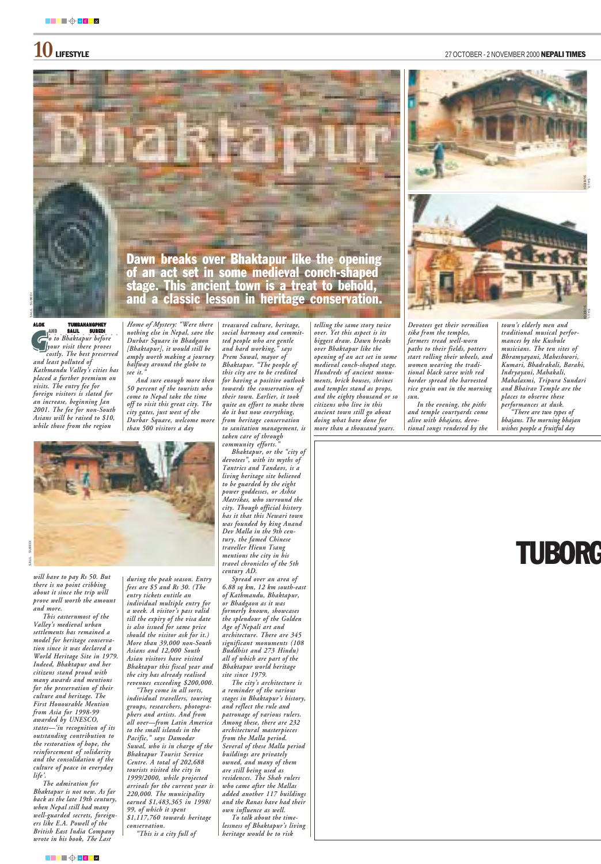TUBORG

will have to pay Rs 50. But there is no point cribbing about it since the trip will

prove well worth the amount and more.

This easternmost of the Valley's medieval urban settlements has remained a model for heritage conservation since it was declared a World Heritage Site in 1979. Indeed, Bhaktapur and her citizens stand proud with many awards and mentions for the preservation of their culture and heritage. The First Honourable Mention from Asia for 1998-99 awarded by UNESCO, states—'in recognition of its outstanding contribution to the restoration of hope, the reinforcement of solidarity and the consolidation of the culture of peace in everyday life'.

The admiration for Bhaktapur is not new. As far back as the late 19th century, when Nepal still had many well-guarded secrets, foreigners like E.A. Powell of the British East India Company wrote in his book, The Last

treasured culture, heritage, social harmony and committed people who are gentle and hard working," says Prem Suwal, mayor of Bhaktapur. "The people of this city are to be credited for having a positive outlook towards the conservation of their town. Earlier, it took quite an effort to make them do it but now everything, from heritage conservation to sanitation management, is taken care of through community efforts.

Home of Mystery: "Were there nothing else in Nepal, save the Durbar Square in Bhadgaon [Bhaktapur], it would still be amply worth making a journey halfway around the globe to see it."

And sure enough more then 50 percent of the tourists who come to Nepal take the time off to visit this great city. The city gates, just west of the Durbar Square, welcome more than 500 visitors a day

during the peak season. Entry fees are \$5 and Rs 30. (The entry tickets entitle an

individual multiple entry for a week. A visitor's pass valid till the expiry of the visa date is also issued for same price should the visitor ask for it.) More than 39,000 non-South Asians and 12,000 South Asian visitors have visited Bhaktapur this fiscal year and the city has already realised revenues exceeding \$200,000.

"They come in all sorts, individual travellers, touring groups, researchers, photographers and artists. And from all over—from Latin America to the small islands in the Pacific," says Damodar Suwal, who is in charge of the Bhaktapur Tourist Service Centre. A total of 202,688 tourists visited the city in 1999/2000, while projected arrivals for the current year is 220,000. The municipality earned \$1,483,365 in 1998/ 99, of which it spent \$1,117,760 towards heritage conservation.



ALOK TUMBAHANGPHEY AND SALIL SUBEDI<br>o to Bhaktapur before your visit there proves costly. The best preserved and least polluted of Kathmandu Valley's cities has placed a further premium on visits. The entry fee for foreign visitors is slated for an increase, beginning Jan 2001. The fee for non-South Asians will be raised to \$10, while those from the region G

"This is a city full of

███<del></del>⊕◘<mark>€</mark>⋝⊻

Bhaktapur, or the "city of devotees", with its myths of Tantrics and Tandavs, is a living heritage site believed to be guarded by the eight power goddesses, or Ashta Matrikas, who surround the city. Though official history has it that this Newari town was founded by king Anand Dev Malla in the 9th century, the famed Chinese traveller Hieun Tsang mentions the city in his travel chronicles of the 5th century AD.

Spread over an area of 6.88 sq km, 12 km south-east of Kathmandu, Bhaktapur, or Bhadgaon as it was formerly known, showcases the splendour of the Golden Age of Nepali art and architecture. There are 345 significant monuments (108 Buddhist and 273 Hindu) all of which are part of the Bhaktapur world heritage site since 1979. The city's architecture is a reminder of the various stages in Bhaktapur's history, and reflect the rule and patronage of various rulers. Among these, there are 232 architectural masterpieces from the Malla period. Several of these Malla period buildings are privately owned, and many of them are still being used as residences. The Shah rulers who came after the Mallas added another 117 buildings and the Ranas have had their own influence as well. To talk about the timelessness of Bhaktapur's living heritage would be to risk

telling the same story twice over. Yet this aspect is its biggest draw. Dawn breaks over Bhaktapur like the opening of an act set in some medieval conch-shaped stage. Hundreds of ancient monuments, brick houses, shrines and temples stand as props, and the eighty thousand or so citizens who live in this ancient town still go about doing what have done for more than a thousand years.

Devotees get their vermilion tika from the temples, farmers tread well-worn paths to their fields, potters start rolling their wheels, and women wearing the traditional black saree with red border spread the harvested rice grain out in the morning sun.

In the evening, the piths and temple courtyards come alive with bhajans, devotional songs rendered by the

town's elderly men and traditional musical performances by the Kushule musicians. The ten sites of Bhramyayani, Maheshwori, Kumari, Bhadrakali, Barahi, Indryayani, Mahakali, Mahalaxmi, Tripura Sundari and Bhairav Temple are the places to observe these performances at dusk.

"There are two types of bhajans. The morning bhajan wishes people a fruitful day

![](_page_9_Picture_16.jpeg)

SALIL SUBEDI

SALIL SUBEDI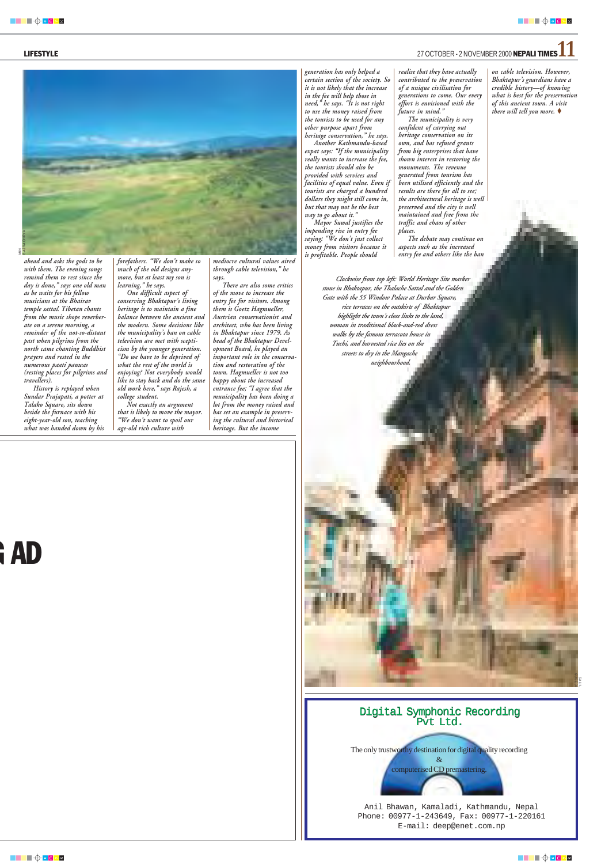# LIFESTYLE 27 OCTOBER - 2 NOVEMBER 2000 NEPALI TIMES**11**

G AD

ahead and asks the gods to be with them. The evening songs remind them to rest since the day is done," says one old man as he waits for his fellow musicians at the Bhairav temple sattal. Tibetan chants from the music shops reverberate on a serene morning, a reminder of the not-so-distant past when pilgrims from the north came chanting Buddhist prayers and rested in the numerous paati pauwas (resting places for pilgrims and travellers).

History is replayed when Sundar Prajapati, a potter at Talako Square, sits down beside the furnace with his eight-year-old son, teaching what was handed down by his forefathers. "We don't make so much of the old designs anymore, but at least my son is learning," he says.

One difficult aspect of conserving Bhaktapur's living heritage is to maintain a fine balance between the ancient and the modern. Some decisions like the municipality's ban on cable television are met with scepticism by the younger generation. "Do we have to be deprived of what the rest of the world is enjoying? Not everybody would like to stay back and do the same old work here," says Rajesh, a college student.

Another Kathmandu-based expat says: "If the municipality really wants to increase the fee, the tourists should also be provided with services and facilities of equal value. Even if tourists are charged a hundred dollars they might still come in, but that may not be the best way to go about it."

Not exactly an argument that is likely to move the mayor. "We don't want to spoil our age-old rich culture with

mediocre cultural values aired through cable television," he says.

realise that they have actually contributed to the preservation of a unique civilisation for generations to come. Our every effort is envisioned with the future in mind."

There are also some critics of the move to increase the entry fee for visitors. Among them is Goetz Hagmueller, Austrian conservationist and architect, who has been living in Bhaktapur since 1979. As head of the Bhaktapur Development Board, he played an important role in the conservation and restoration of the town. Hagmueller is not too happy about the increased entrance fee; "I agree that the municipality has been doing a lot from the money raised and has set an example in preserving the cultural and historical heritage. But the income

on cable television. However, Bhaktapur's guardians have a credible history—of knowing what is best for the preservation of this ancient town. A visit there will tell you more.  $\blacklozenge$ 

generation has only helped a certain section of the society. So it is not likely that the increase in the fee will help those in need," he says. "It is not right to use the money raised from the tourists to be used for any other purpose apart from heritage conservation," he says.

Mayor Suwal justifies the impending rise in entry fee saying: "We don't just collect money from visitors because it is profitable. People should

The only trustworthy destination for digital quality recording

& computerised CD premastering.

Anil Bhawan, Kamaladi, Kathmandu, Nepal Phone: 00977-1-243649, Fax: 00977-1-220161 E-mail: deep@enet.com.np

![](_page_10_Picture_29.jpeg)

![](_page_10_Picture_30.jpeg)

#### Digital Symphonic Recording Pvt Ltd.

The municipality is very confident of carrying out heritage conservation on its own, and has refused grants from big enterprises that have shown interest in restoring the maintained and free from the traffic and chaos of other places.

monuments. The revenue generated from tourism has been utilised efficiently and the results are there for all to see; the architectural heritage is well preserved and the city is well

> The debate may continue on aspects such as the increased

> entry fee and others like the ban

Clockwise from top left: World Heritage Site marker stone in Bhaktapur, the Thalache Sattal and the Golden Gate with the 55 Window Palace at Durbar Square, rice terraces on the outskirts of Bhaktapur highlight the town's close links to the land, woman in traditional black-and-red dress walks by the famous terracota house in Tuchi, and harvested rice lies on the streets to dry in the Mangache neighbourhood.

![](_page_10_Picture_3.jpeg)

![](_page_10_Picture_24.jpeg)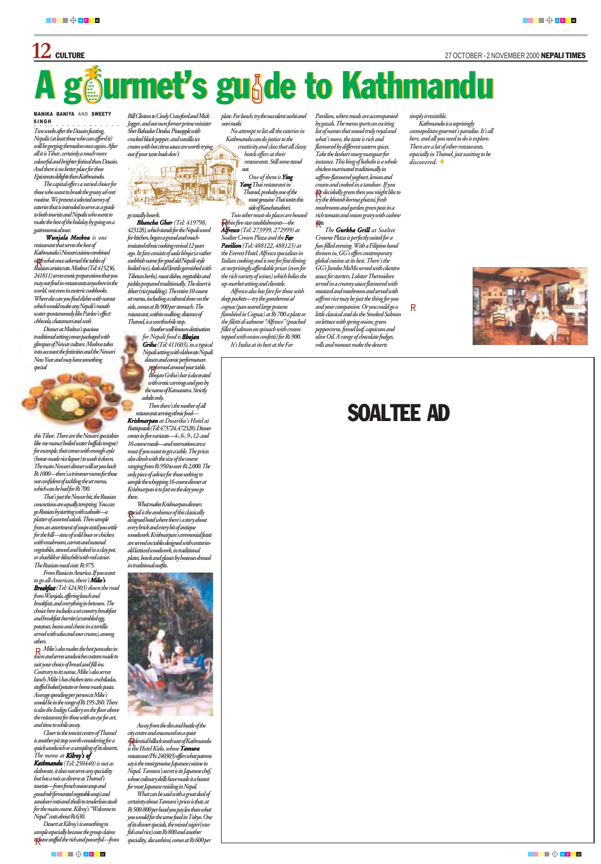# 12 CULTURE 2000 NEPALI TIMES

# A g**éjurmet's gu<sub>ð</sub>de to Kathmandu**

# SOALTEE AD

#### MANIKA BANIYA AND SWEETY ○○○○○○○○○○○○ ○○○○ SINGH

Two weeks after the Dasain feasting, Nepalis (at least those who can afford it) will be gorging themselves once again. After all it is Tihar, certainly a much more colourful and brighter festival than Dasain. And there is no better place for these Epicurean delights than Kathmandu.

The capital offer s a varied choice for those who want to break the greasy sel-roti routine. We present a selected survey of eateries that is intended to serve as a guide to both tourists and Nepalis who want to make the best of the holiday by going on a gastronomical tour.

Wunjala Moskva is one restaurant that serves the best of Kathmandu's Newari cuisine combined with what once adorned the tables of w<del>it</del>h what once adorned the tables of<br>Russian aristocrats. Moskva (Tel: 415236, 241811) serves exotic preparations that you may not find in restaurants anywhere in the world, not even in esoteric cookbooks. Where else can you find dishes with names which would make any Nepali's mouth water spontaneously like Pavlov's effect: chhwela, chatamari and woh.

Dinner at Moskva's spacious traditional setting comes packaged with glimpses of Newar culture. Moskva takes into account the festivities and the Newari New Year and may have something special

![](_page_11_Picture_9.jpeg)

this Tihar. There are the Newari specialties like me mana (boiled water buffalo tongue) for example, that comes with enough ayla (home-made rice liquor) to wash it down. The main Newari dinner will set you back Rs 1000—there's a trimmer menu for those not confident of tackling the set menu, which can be had for Rs 700.

Dessert at Kilroy's is something to sample especially because the group claims t<mark>o</mark> bave stuffed the rich and powerful—from

That's just the Newar bit, the Russian concoctions are equally tempting. You can go Russian by starting with zakuski—a platter of assorted salads. Then sample from an assortment of soups until you settle for the kill—stew of wild boar or chicken with mushroom, carrots and seasonal vegetables, stewed and baked in a clay pot, or shashlik or blinchiki with red caviar. The Russian meal costs Rs 975.

From Russia to America. If you want to go all-American, there's Mike's Breakfast (Tel: 424303) down the road from Wunjala, offering lunch and

Bhancha Ghar (Tel: 419798, 423128), which stands for the Nepali word for kitchen, began a grand and muchimitated ethnic cooking revival 12 years ago. Its fare consists of sada bhuja (a rather snobbish name for good old Nepali-style boiled rice), kalo dal (lentils garnished with Tibetan herbs), meat dishes, vegetables and pickles prepared traditionally. The desert is kheer (rice pudding). The entire 10-course set menu, including a cultural show on the side, comes at Rs 900 per stomach. The restaurant, within walking distance of Thamel, is a worthwhile stop.

breakfast, and everything in between. The choice here includes a set country breakfast and breakfast burrito (scrambled egg, potatoes, beans and cheese in a tortilla served with salsa and sour cream), among others.

Krishnarpan at Dwarika's Hotel at Battisputali (Tel: 473724, 472328). Dinner comes in five variants—4-, 6-, 9-, 12- and 16-course meals—and reservations are a must if you want to get a table. The prices also climb with the size of the course ranging from Rs 950 to over Rs 2,000. The only piece of advice for those seeking to sample the whopping 16-course dinner at Krishnarpan is to fast on the day you go there.

Mike's also makes the best pancakes in R town and serves sandwiches custom made to suit your choice of bread and fill-ins. Contrary to its name, Mike's also serves lunch. Mike's has chicken stew, enchiladas, stuffed baked potato or home made pasta. Average spending per person at Mike's would be in the range of Rs 195-260. There is also the Indigo Gallery on the floor above the restaurant for those with an eye for art, and time to while away.

> What can be said with a great deal of certainty about Tamura's prices is that, at Rs 500-800 per head you pay less than what you would for the same food in Tokyo. One of its dinner specials, the mixed nigiri (raw fish and rice) costs Rs 800 and another speciality, ika sashimi, comes at Rs 600 per

plate. For lunch, try the succulent sushis and -<br>-<br>norimabi

![](_page_11_Picture_40.jpeg)

![](_page_11_Picture_41.jpeg)

Closer to the tourist centre of Thamel is another pit stop worth considering for a quick sandwich or a sampling of its desserts. The menu at Kilroy's of Kathmandu (Tel: 250440) is not as elaborate, it does not serve any speciality but has a mix as diverse as Thamel's tourists—from french onion soup and gundruk (fermented vegetable soup) and tandoori rotis and thalis to tenderloin steak for the main course. Kilroy's "Welcome to Nepal" costs about Rs 630.

Bill Clinton to Cindy Crawford and Mick Jagger, and our own former prime minister Sher Bahadur Deuba. Pineapple with cracked black pepper, and vanilla ice cream with hot citrus sauce are worth trying out if your taste buds don't

#### go totally beserk.

The Gurkha Grill at Soaltee Crowne Plaza is perfectly suited for a fun-filled evening. With a Filipino band thrown in, GG's offers contemporary global cuisine at its best. There's the GG's Jumbo MoMo served with cilantro sauce for starters. Lobster Thermidore served in a creamy sauce flavoured with mustard and mushroom and served with saffron rice may be just the thing for you and your companion. Or you could go a little classical and do the Smoked Salmon on lettuce with spring onion, green peppercorns, fennel leaf, capsicum and olive Oil. A range of chocolate fudges, rolls and mousses make the desserts

Kathmandu is a suprisingly cosmopolitan gourmet's paradise. It's all here, and all you need to do is explore. There are a lot of other restaurants, especially in Thamel, just waiting to be discovered.

![](_page_11_Picture_32.jpeg)

Another well-known destination for Nepali food is **Bhojan** Griha (Tel: 411603), in a typical Nepali setting with elaborate Nepali dances and comic performances

performed around your table. R Bhojan Griha's bar is decorated with erotic carvings and goes by the name of Kamasutra. Strictly adults only.

Then there's the mother of all restaurants serving ethnic food—

What makes Krishnarpan dinners special is the ambience of this classically R designed hotel where there's a story about every brick and every bit of antique woodwork. Krishnarpan's ceremonial feasts are served on tables designed with centuriesold latticed woodwork, in traditional plates, bowls and glasses by hostesses dressed in traditional outfits.

![](_page_11_Picture_22.jpeg)

Away from the din and bustle of the city centre and ensconced on a quiet r<del>es</del>idential hillock south east of Kathmandu<br>in the Hetel Kide, where **Temene** is the Hotel Kido, whose **Tamura** restaurant (Ph: 240303) offers what patrons say is the most genuine Japanese cuisine in Nepal. Tamura's secret is its Japanese chef, whose culinary skills have made it a haunt for most Japanese residing in Nepal.

No attempt to list all the eateries in Kathmandu can do justice to the creativity and class that all classy hotels offers at their restaurants. Still some stand

out. One of them is Ying Yang Thai restaurant in Thamel, probaby one of the most genuine Thai tastes this side of Kanchanaburi.

Two other must-do places are housed **Wi**thin five-star establishments—the Alfresco (Tel: 273999, 272999) at Soaltee Crown Plaza and the Far Pavilion (Tel: 488122, 488123) at the Everest Hotel. Alfresco specialises in Italian cooking and is one for fine dining at surprisingly affordable prices (even for the rich variety of wines) which belies the up-market setting and clientele.

Alfresco also has fare for those with deep pockets—try the gamberoni al cognac (pan-seared large prawns flambéed in Cognac) at Rs 700 a plate or the filetti di salmone "Alfresco" (poached fillet of salmon on spinach with cream topped with onion confetti) for Rs 900. It's India at its best at the Far

Pavilion, where meals are accompanied by gazals. The menu sports an exciting list of names that sound truly royal and what's more, the taste is rich and flavoured by different eastern spices. Take the keshari murg mangaar for instance. This king of kababs is a whole chicken marinated traditionally in saffron-flavoured yoghurt, lemon and cream and cooked in a tandoor. If you **ap**e decidedly green then you might like to<br>For the blump horms charm from try the khumb korma ghazni, fresh mushrooms and garden green peas in a rich tomato and onion gravy with cashew nputs. R

simply irresistible.

R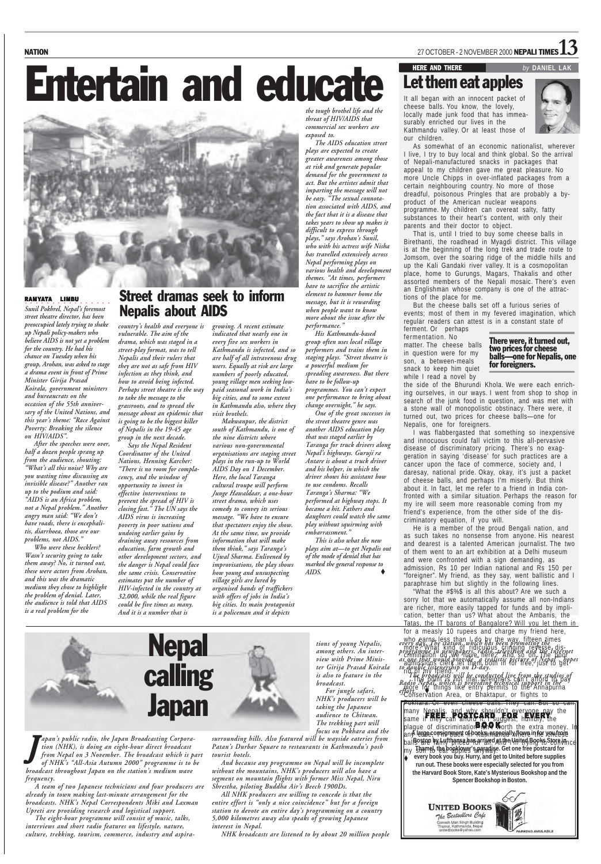○○○○○○○○○○○○○○○○ Sunil Pokhrel, Nepal's foremost street theatre director, has been preoccupied lately trying to shake up Nepali policy-makers who believe AIDS is not yet a problem for the country. He had his chance on Tuesday when his group, Arohan, was asked to stage a drama event in front of Prime Minister Girija Prasad Koirala, government ministers and bureaucrats on the occasion of the 55th anniversary of the United Nations, and this year's theme: "Race Against Poverty: Breaking the silence on HIV/AIDS".

#### RAMY ATA LIMBU

After the speeches were over, half a dozen people sprang up from the audience, shouting: "What's all this noise? Why are you wasting time discussing an invisible disease?" Another ran up to the podium and said: "AIDS is an Africa problem, not a Nepal problem." Another angry man said: "We don't have roads, there is encephalitis, diarrhoea, those are our problems, not AIDS."

Who were these hecklers? Wasn't security going to take them away? No, it turned out, these were actors from Arohan, and this was the dramatic medium they chose to highlight the problem of denial. Later,

the audience is told that AIDS is a real problem for the

country's health and everyone is vulnerable. The aim of the drama, which was staged in a street-play format, was to tell Nepalis and their rulers that they are not as safe from HIV infection as they think, and how to avoid being infected. Perhaps street theatre is the way to take the message to the grassroots, and to spread the message about an epidemic that is going to be the biggest killer of Nepalis in the 19-45 age group in the next decade.

# the tough brothel life and the Entertain and educate Let them eat apples

![](_page_12_Picture_2.jpeg)

Says the Nepal Resident Coordinator of the United Nations, Henning Karcher: "There is no room for complacency, and the window of opportunity to invest in effective interventions to prevent the spread of HIV is closing fast." The UN says the AIDS virus is increasing poverty in poor nations and undoing earlier gains by draining away resources from education, farm growth and other development sectors, and the danger is Nepal could face the same crisis. Conservative estimates put the number of HIV-infected in the country at 32,000, while the real figure could be five times as many. And it is a number that is

growing. A recent estimate indicated that nearly one in every five sex workers in Kathmandu is infected, and so are half of all intravenous drug users. Equally at risk are large numbers of poorly educated, young village men seeking lowpaid seasonal work in India's big cities, and to some extent in Kathmandu also, where they visit brothels.

Makwanpur, the district south of Kathmandu, is one of the nine districts where various non-governmental organisations are staging street plays in the run-up to World AIDS Day on 1 December. Here, the local Taranga cultural troupe will perform Junge Hawaldaar, a one-hour street drama, which uses comedy to convey its serious message. "We have to ensure that spectators enjoy the show. At the same time, we provide information that will make them think," says Taranga's Ujwal Sharma. Enlivened by improvisations, the play shows how young and unsuspecting village girls are lured by organised bands of traffickers

# NATION  $\frac{27 \text{ OCTOBER}-2 \text{ NOVEMBER 2000 NEPALI TIMES}}{27 \text{ OCTOBER}-2 \text{ NOVEMBER 2000 NEPALI TIMES}}$

with offers of jobs in India's big cities. Its main protagonist is a policeman and it depicts

**Nepal** calling **Japan** 

threat of HIV/AIDS that commercial sex workers are

exposed to.

The AIDS education street plays are expected to create greater awareness among those at risk and generate popular demand for the government to act. But the artistes admit that imparting the message will not be easy. "The sexual connotation associated with AIDS, and the fact that it is a disease that takes years to show up makes it difficult to express through plays," says Arohan's Sunil, who with his actress wife Nisha has travelled extensively across Nepal performing plays on various health and development themes. "At times, performers have to sacrifice the artistic element to hammer home the message, but it is rewarding when people want to know more about the issue after the

performance."

more for things like entry permits to the Annapurna Cóñservation Area, or Bhaktapur, or flights to  $effortc$ 

His Kathmandu-based group often uses local village performers and trains them in staging plays. "Street theatre is a powerful medium for spreading awareness. But there

> Pokhara. Or even cheese balls. They can. But so can many Nepalis, and why shouldn't everyone pay the same if they can afford it. I suggest, humbly, the plague of discrimination isn't worth the extra money. In any case, I'm back yn Yenhandu where ''the veheese balls are fairly priced for all and I'm thy Phy to convince my son to eat apples anyway. ٠ **A large consignment of books, especially flown in for you from Boston by Lufthansa has arrived at the United Books Store in Thamel, the booklover's paradise. Get one free postcard for every book you buy. Hurry, and get to United before supplies run out. These books were especially selected for you from the Harvard Book Store, Kate's Mysterious Bookshop and the Spencer Bookshop in Boston.** B O Q K

![](_page_12_Picture_44.jpeg)

have to be follow-up

programmes. You can't expect one performance to bring about change overnight," he says.

One of the great successes in

#### **HERE AND THERE by DANIEL LAK** Let them eat apples

the street theatre genre was another AIDS education play that was staged earlier by Taranga for truck drivers along Nepal's highways. Guruji ra Antare is about a truck driver and his helper, in which the driver shows his assistant how to use condoms. Recalls Taranga's Sharma: "We performed at highway stops. It became a hit. Fathers and daughters could watch the same play without squirming with

embarrassment."

This is also what the new plays aim at—to get Nepalis out of the mode of denial that has marked the general response to

AIDS.

#### Street dramas seek to inform Nepalis about AIDS

cheese balls. You know, the lovely, surably enriched our lives in the

![](_page_12_Picture_15.jpeg)

locally made junk food that has immea-Kathmandu valley. Or at least those of our children.

As somewhat of an economic nationalist, wherever I live, I try to buy local and think global. So the arrival of Nepali-manufactured snacks in packages that appeal to my children gave me great pleasure. No more Uncle Chipps in over-inflated packages from a certain neighbouring country. No more of those dreadful, poisonous Pringles that are probably a byproduct of the American nuclear weapons programme. My children can overeat salty, fatty substances to their heart's content, with only their parents and their doctor to object.

That is, until I tried to buy some cheese balls in Birethanti, the roadhead in Myagdi district. This village is at the beginning of the long trek and trade route to Jomsom, over the soaring ridge of the middle hills and up the Kali Gandaki river valley. It is a cosmopolitan place, home to Gurungs, Magars, Thakalis and other assorted members of the Nepali mosaic. There's even an Englishman whose company is one of the attractions of the place for me.

But the cheese balls set off a furious series of events; most of them in my fevered imagination, which regular readers can attest is in a constant state of

ferment. Or perhaps fermentation. No matter. The cheese balls in question were for my son, a between-meals snack to keep him quiet while I read a novel by

the side of the Bhurundi Khola. We were each enriching ourselves, in our ways. I went from shop to shop in search of the junk food in question, and was met with a stone wall of monopolistic obstinacy. There were, it turned out, two prices for cheese balls—one for Nepalis, one for foreigners.

I was flabbergasted that something so inexpensive and innocuous could fall victim to this all-pervasive disease of discriminatory pricing. There's no exaggeration in saying 'disease' for such practices are a cancer upon the face of commerce, society and, I daresay, national pride. Okay, okay, it's just a packet of cheese balls, and perhaps I'm miserly. But think about it. In fact, let me refer to a friend in India confronted with a similar situation. Perhaps the reason for my ire will seem more reasonable coming from my friend's experience, from the other side of the discriminatory equation, if you will.

He is a member of the proud Bengali nation, and as such takes no nonsense from anyone. His nearest and dearest is a talented American journalist. The two of them went to an art exhibition at a Delhi museum and were confronted with a sign demanding, as admission, Rs 10 per Indian national and Rs 150 per "foreigner". My friend, as they say, went ballistic and I paraphrase him but slightly in the following lines.

"What the #\$%\$ is all this about? Are we such a

sorry lot that we automatically assume all non-Indians are richer, more easily tapped for funds and by implication, better than us? What about the Ambanis, the Tatas, the IT barons of Bangalore? Will you let them in

There were, it turned out, two prices for cheese balls—one for Nepalis, one for foreigners.

A team of two Japanese technicians and four producers are already in town making last-minute arrangement for the broadcasts. NHK's Nepal Correspondents Miki and Laxman Upreti are providing research and logistical support.

The eight-hour programme will consist of music, talks, interviews and short radio features on lifestyle, nature, culture, trekking, tourism, commerce, industry and aspira-

for a measly 10 rupees and charge my friend here, who earns, less than I, do by the way, fifteen times more? What kind of ridiculous cringing reverse, discrimination do we have here?" And so on. The poor admissions clerk let them both in for free, just to get every day. The station, which has been promoting the programme in newspapers, radio, television and the Internet as one that would provide "a realistic picture of Nepal", hopes

tions of young Nepalis, among others. An interview with Prime Minister Girija Prasad Koirala is also to feature in the broadcast.

rid of my friend. The point is not that foreigners can't afford to pay to double listenership on D-day. The broadcasts will be conducted live from the studios of Radio Nepal, which is providing technical support in the

For jungle safari, NHK's producers will be taking the Japanese audience to Chitwan. The trekking part will focus on Pokhara and the

surrounding hills. Also featured will be wayside eateries from Patan's Durbar Square to restaurants in Kathmandu's posh tourist hotels.

And because any programme on Nepal will be incomplete without the mountains, NHK's producers will also have a segment on mountain flights with former Miss Nepal, Niru Shrestha, piloting Buddha Air's Beech 1900Ds.

apan's public radio, the Japan Broadcasting Corporation (NHK), is doing an eight-hour direct broadcast from Nepal on 3 November. The broadcast which is part of NHK's "All-Asia Autumn 2000" programme is to be broadcast throughout Japan on the station's medium wave frequency. J

> All NHK producers are willing to concede is that the entire effort is "only a nice coincidence" but for a foreign station to devote an entire day's programming on a country 5,000 kilometres away also speaks of growing Japanese interest in Nepal.

NHK broadcasts are listened to by about 20 million people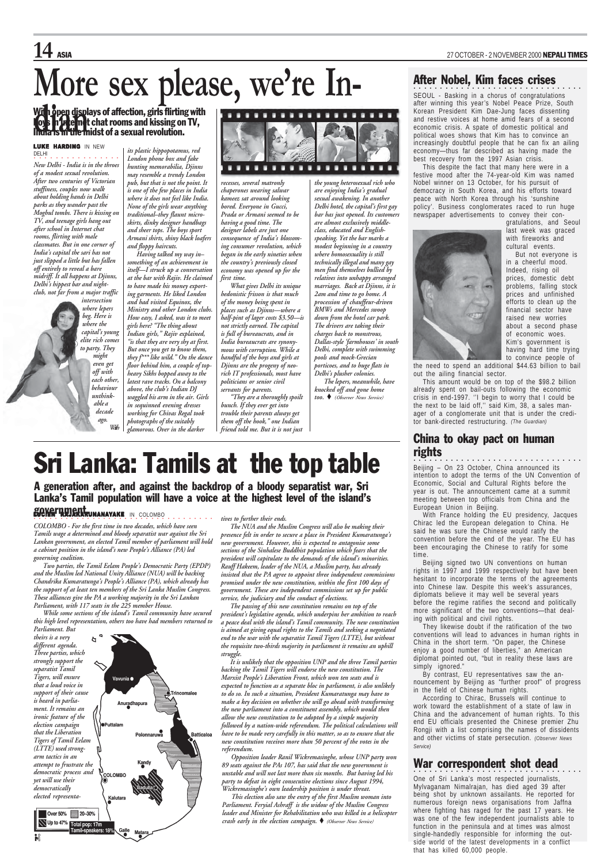#### ○○○○○○○○○○○○○○○○○○○○○○○○○○○ ○○○○○ After Nobel, Kim faces crises SEOUL - Basking in a chorus of congratulations

after winning this year's Nobel Peace Prize, South Korean President Kim Dae-Jung faces dissenting and restive voices at home amid fears of a second economic crisis. A spate of domestic political and political woes shows that Kim has to convince an increasingly doubtful people that he can fix an ailing economy—thus far described as having made the best recovery from the 1997 Asian crisis.

This despite the fact that many here were in a festive mood after the 74-year-old Kim was named Nobel winner on 13 October, for his pursuit of democracy in South Korea, and his efforts toward peace with North Korea through his 'sunshine policy'. Business conglomerates raced to run huge newspaper advertisements to convey their con-

![](_page_13_Picture_21.jpeg)

gratulations, and Seoul last week was graced with fireworks and cultural events.

But not everyone is in a cheerful mood. Indeed, rising oil prices, domestic debt problems, falling stock prices and unfinished efforts to clean up the financial sector have raised new worries about a second phase of economic woes. Kim's government is having hard time trying to convince people of

the need to spend an additional \$44.63 billion to bail out the ailing financial sector.

This amount would be on top of the \$98.2 billion already spent on bail-outs following the economic crisis in end-1997. ''I begin to worry that I could be the next to be laid off,'' said Kim, 38, a sales manager of a conglomerate unit that is under the creditor bank-directed restructuring. (The Guardian)

#### China to okay pact on human rights

○○○○○○○○○○○○○○○○○○○○○○○○○○○ ○○○○○ Beijing – On 23 October, China announced its intention to adopt the terms of the UN Convention of Economic, Social and Cultural Rights before the year is out. The announcement came at a summit meeting between top officials from China and the European Union in Beijing.

#### **LUKE HARDING IN NEW** DELHI ○○○○○○○○○○○○○○○○

With France holding the EU presidency, Jacques Chirac led the European delegation to China. He said he was sure the Chinese would ratify the convention before the end of the year. The EU has been encouraging the Chinese to ratify for some time.

Beijing signed two UN conventions on human rights in 1997 and 1999 respectively but have been hesitant to incorporate the terms of the agreements into Chinese law. Despite this week's assurances, diplomats believe it may well be several years before the regime ratifies the second and politically more significant of the two conventions—that dealing with political and civil rights. They likewise doubt if the ratification of the two conventions will lead to advances in human rights in China in the short term. "On paper, the Chinese enjoy a good number of liberties," an American diplomat pointed out, "but in reality these laws are simply ignored." By contrast, EU representatives saw the announcement by Beijing as "further proof" of progress in the field of Chinese human rights. According to Chirac, Brussels will continue to work toward the establishment of a state of law in China and the advancement of human rights. To this end EU officials presented the Chinese premier Zhu Rongji with a list comprising the names of dissidents and other victims of state persecution. (Observer News Service)

#### War correspondent shot dead

○○○○○○○○○○○○○○○○○○○○○○○○○○○ ○○○○○

One of Sri Lanka's most respected journalists, Mylvaganam Nimalrajan, has died aged 39 after being shot by unknown assailants. He reported for numerous foreign news organisations from Jaffna where fighting has raged for the past 17 years. He was one of the few independent journalists able to function in the peninsula and at times was almost single-handedly responsible for informing the outside world of the latest developments in a conflict that has killed 60,000 people.

The lepers, meanwhile, have too.  $\blacklozenge$  (Observer News Service)

New Delhi - India is in the throes of a modest sexual revolution. After two centuries of Victorian stuffiness, couples now walk about holding hands in Delhi parks as they wander past the Moghul tombs. There is kissing on TV, and teenage girls hang out after school in Internet chat rooms, flirting with male classmates. But in one corner of India's capital the sari has not just slipped a little but has fallen off entirely to reveal a bare midriff. It all happens at Djinns, Delhi's hippest bar and nightclub, not far from a major traffic

intersection where lepers beg. Here is where the capital's young elite rich comes to party. They might even get off with each other, behaviour unthinkable a decade ago. With

its plastic hippopotamus, red London phone box and fake hunting memorabilia, Djinns may resemble a trendy London pub, but that is not the point. It is one of the few places in India where it does not feel like India. None of the girls wear anything traditional–they flaunt microskirts, dinky designer handbags and sheer tops. The boys sport Armani shirts, shiny black loafers and floppy haircuts.

Having talked my way in– something of an achievement in itself—I struck up a conversation at the bar with Rajiv. He claimed to have made his money exporting garments. He liked London and had visited Equinox, the Ministry and other London clubs. How easy, I asked, was it to meet girls here? "The thing about Indian girls," Rajiv explained, "is that they are very shy at first. But once you get to know them, they f\*\*\* like wild." On the dance floor behind him, a couple of topheavy Sikhs bopped away to the latest rave tracks. On a balcony above, the club's Indian DJ waggled his arm in the air. Girls in sequinned evening dresses working for Chivas Regal took photographs of the suitably glamorous. Over in the darker

![](_page_13_Picture_9.jpeg)

This election also saw the entry of the first Muslim woman into Parliament. Feryial Ashraff is the widow of the Muslim Congress leader and Minister for Rehabilitation who was killed in a helicopter crash early in the election campaign.  $\blacklozenge$  (Observer News Service)

recesses, several matronly chaperones wearing salwar kameez sat around looking bored. Everyone in Gucci, Prada or Armani seemed to be having a good time. The designer labels are just one consequence of India's blossoming consumer revolution, which began in the early nineties when the country's previously closed economy was opened up for the first time.

What gives Delhi its unique hedonistic frisson is that much of the money being spent in places such as Djinns—where a half-pint of lager costs \$3.50—is not strictly earned. The capital is full of bureaucrats, and in India bureaucrats are synonymous with corruption. While a handful of the boys and girls at Djinns are the progeny of neorich IT professionals, most have politicians or senior civil servants for parents.

"They are a thoroughly spoilt bunch. If they ever get into trouble their parents always get them off the hook," one Indian friend told me. But it is not just

# **More sex please, we're In-**

With open displays of affection, girls flirting with<br>**I** of a in the init chat rooms and kissing on TV,<br>India is in the midst of a sexual revolution. **loys in Internet** chat rooms and kissing on TV, India is mitte midst of a sexual revolution.

> the young heterosexual rich who are enjoying India's gradual sexual awakening. In another Delhi hotel, the capital's first gay bar has just opened. Its customers are almost exclusively middleclass, educated and Englishspeaking. Yet the bar marks a modest beginning in a country where homosexuality is still technically illegal and many gay men find themselves bullied by relatives into unhappy arranged marriages. Back at Djinns, it is 2am and time to go home. A procession of chauffeur-driven BMWs and Mercedes swoop down from the hotel car park. The drivers are taking their charges back to monstrous, Dallas-style 'farmhouses' in south Delhi, complete with swimming pools and mock-Grecian porticoes, and to huge flats in Delhi's plusher colonies.

knocked off and gone home

COLOMBO - For the first time in two decades, which have seen Tamils wage a determined and bloody separatist war against the Sri Lankan government, an elected Tamil member of parliament will hold a cabinet position in the island's new People's Alliance (PA) led governing coalition.

Two parties, the Tamil Eelam People's Democratic Party (EPDP) and the Muslim led National Unity Alliance (NUA) will be backing Chandrika Kumaratunga's People's Alliance (PA), which already has the support of at least ten members of the Sri Lanka Muslim Congress. These alliances give the PA a working majority in the Sri Lankan Parliament, with 117 seats in the 225 member House. While some sections of the island's Tamil community have secured this high level representation, others too have had members returned to Parliament. But

![](_page_13_Figure_37.jpeg)

tives to further their ends.

The NUA and the Muslim Congress will also be making their presence felt in order to secure a place in President Kumaratunga's new government. However, this is expected to antagonise some sections of the Sinhalese Buddhist population which fears that the president will capitulate to the demands of the island's minorities. Rauff Hakeem, leader of the NUA, a Muslim party, has already insisted that the PA agree to appoint three independent commissions promised under the new constitution, within the first 100 days of government. These are independent commissions set up for public

service, the judiciary and the conduct of elections.

The passing of this new constitution remains on top of the president's legislative agenda, which underpins her ambition to reach a peace deal with the island's Tamil community. The new constitution is aimed at giving equal rights to the Tamils and seeking a negotiated end to the war with the separatist Tamil Tigers (LTTE), but without the requisite two-thirds majority in parliament it remains an uphill struggle.

It is unlikely that the opposition UNP and the three Tamil parties backing the Tamil Tigers will endorse the new constitution. The Marxist People's Liberation Front, which won ten seats and is expected to function as a separate bloc in parliament, is also unlikely to do so. In such a situation, President Kumaratunga may have to make a key decision on whether she will go ahead with transforming the new parliament into a constituent assembly, which would then allow the new constitution to be adopted by a simple majority followed by a nation-wide referendum. The political calculations will have to be made very carefully in this matter, so as to ensure that the new constitution receives more than 50 percent of the votes in the referendum.

Opposition leader Ranil Wickremasinghe, whose UNP party won 89 seats against the PAs 107, has said that the new government is unstable and will not last more than six months. But having led his party to defeat in eight consecutive elections since August 1994, Wickremasinghe's own leadership position is under threat.

# Sri Lanka: Tamils at the top table

#### A generation after, and against the backdrop of a bloody separatist war, Sri Lanka's Tamil population will have a voice at the highest level of the island's

**Batticaloa** 

#### **EOVER RAJAKARUNANAYAKE** IN COLOMBO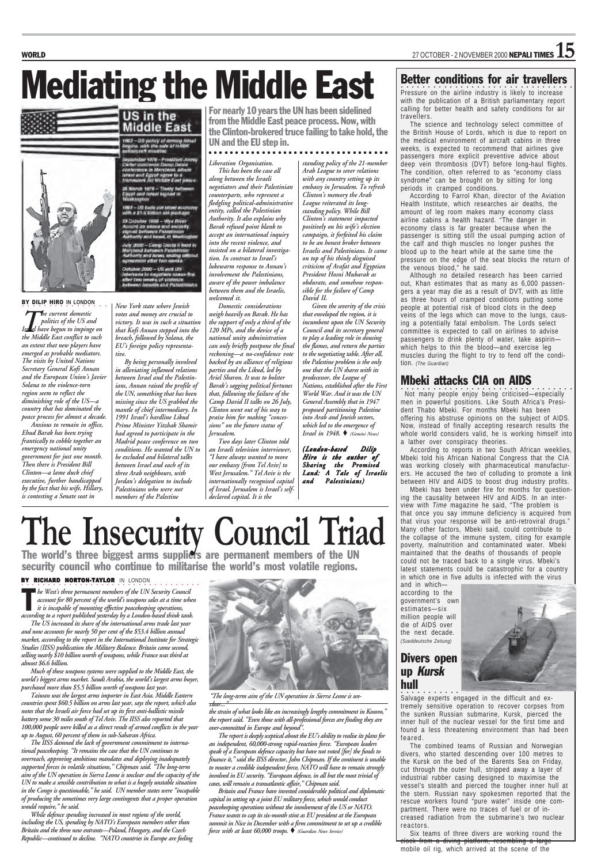BY DILIP HIRO **IN LONDON** ○○○○○○○○○○○○○○○○ the current domestic politics of the US and Isr<sup>el</sup> have begun to impinge on the Middle East conflict to such an extent that new players have emerged as probable mediators. The visits by United Nations Secretary General Kofi Annan and the European Union's Javier Solana to the violence-torn region seem to reflect the diminishing role of the US—a country that has dominated the peace process for almost a decade. Anxious to remain in office, Ehud Barak has been trying frantically to cobble together an emergency national unity government for just one month. Then there is President Bill Clinton—a lame duck chief executive, further handicapped by the fact that his wife, Hillary, is contesting a Senate seat in

 $\prod_{\substack{\text{Isr} \text{ell } k}}$ 

#### US in the **Middle East**

1923 – US policy af Kemily Ninel<br>Seyma: vikk US-sale af HABK<br>Kelinisted mindler

rch 1979 - Tranty be

nco – Liti Balla cur Intani po

iy TABR - Viya Filmir

- US anto UN

New York state where Jewish votes and money are crucial to victory. It was in such a situation that Kofi Annan stepped into the breach, followed by Solana, the EU's foreign policy representative.

By being personally involved in alleviating inflamed relations between Israel and the Palestinians, Annan raised the profile of the UN, something that has been missing since the US grabbed the mantle of chief intermediary. In 1991 Israel's hardline Likud Prime Minister Yitzhak Shamir had agreed to participate in the Madrid peace conference on two conditions. He wanted the UN to be excluded and bilateral talks between Israel and each of its three Arab neighbours, with Jordan's delegation to include Palestinians who were not members of the Palestine

Given the severity of the crisis that enveloped the region, it is incumbent upon the UN Security Council and its secretary general to play a leading role in dousing the flames, and return the parties to the negotiating table. After all, the Palestine problem is the only one that the UN shares with its predecessor, the League of Nations, established after the First World War. And it was the UN General Assembly that in 1947 proposed partitioning Palestine into Arab and Jewish sectors, which led to the emergence of Israel in 1948.  $\blacklozenge$  (Gemini News)

Liberation Organisation. This has been the case all along between the Israeli negotiators and their Palestinian counterparts, who represent a fledgling political-administrative entity, called the Palestinian Authority. It also explains why Barak refused point blank to accept an international inquiry into the recent violence, and insisted on a bilateral investigation. In contrast to Israel's lukewarm response to Annan's involvement the Palestinians, aware of the power imbalance between them and the Israelis, welcomed it.

#### BY RIGHARD NORTON-TAYLOR IN LONDON ○○○○○○○ ○○○○○○○○○○○○○○○○○○○○○○○○○○○

![](_page_14_Picture_26.jpeg)

**he West's three permanent members of the UN Security Council**<br>account for 80 percent of the world's weapons sales at a time wh<br>it is incapable of mounting effective peacekeeping operations, account for 80 percent of the world's weapons sales at a time when it is incapable of mounting effective peacekeeping operations, according to a report published yesterday by a London-based think tank.

Domestic considerations weigh heavily on Barak. He has the support of only a third of the 120 MPs, and the device of a national unity administration can only briefly postpone the final reckoning—a no-confidence vote backed by an alliance of religious parties and the Likud, led by Ariel Sharon. It was to bolster Barak's sagging political fortunes that, following the failure of the Camp David II talks on 26 July, Clinton went out of his way to praise him for making "concessions" on the future status of Jerusalem.

Two days later Clinton told an Israeli television interviewer, "I have always wanted to move our embassy [from Tel Aviv] to West Jerusalem." Tel Aviv is the internationally recognised capital of Israel. Jerusalem is Israel's selfdeclared capital. It is the

The IISS damned the lack of government commitment to international peacekeeping. "It remains the case that the UN continues to overreach, approving ambitious mandates and deploying inadequately supported forces in volatile situations," Chipman said. "The long-term aim of the UN operation in Sierra Leone is unclear and the capacity of the UN to make a sensible contribution to what is a hugely unstable situation in the Congo is questionable," he said. UN member states were "incapable of producing the sometimes very large contingents that a proper operation would require," he said.

standing policy of the 21-member Arab League to sever relations with any country setting up its embassy in Jerusalem. To refresh Clinton's memory the Arab League reiterated its longstanding policy. While Bill Clinton's statement impacted positively on his wife's election campaign, it forfeited his claim to be an honest broker between Israelis and Palestinians. It came on top of his thinly disguised criticism of Arafat and Egyptian President Hosni Mubarak as obdurate, and somehow responsible for the failure of Camp David II.

Britain and France have invested considerable political and diplomatic capital in setting up a joint EU military force, which would conduct peacekeeping operations without the involvement of the US or NATO. France wants to cap its six-month stint as EU president at the European summit in Nice in December with a firm commitment to set up a credible force with at least 60,000 troops.  $\blacklozenge$  (Guardian News Service)

(London-based Dilip Hiro is the author of Sharing the Promised Land: A Tale of Israelis and Palestinians)

# Mediating the Middle East

![](_page_14_Picture_2.jpeg)

![](_page_14_Picture_3.jpeg)

For nearly 10 years the UN has been sidelined from the Middle East peace process. Now, with the Clinton-brokered truce failing to take hold, the UN and the EU step in.

The US increased its share of the international arms trade last year and now accounts for nearly 50 per cent of the \$53.4 billion annual market, according to the report in the International Institute for Strategic Studies (IISS) publication the Military Balance. Britain came second, selling nearly  $\bar{$}10$  billion worth of weapons, while France was third at almost \$6.6 billion.

Much of these weapons systems were supplied to the Middle East, the world's biggest arms market. Saudi Arabia, the world's largest arms buyer, purchased more than \$5.5 billion worth of weapons last year.

Taiwan was the largest arms importer in East Asia. Middle Eastern countries spent \$60.5 billion on arms last year, says the report, which also notes that the Israeli air force had set up its first anti-ballistic missile battery some 30 miles south of Tel Aviv. The IISS also reported that 100,000 people were killed as a direct result of armed conflicts in the year up to August, 60 percent of them in sub-Saharan Africa.

 $\mathbf{\dot{.}}\dots\mathbf{\dot{.}}\dots\mathbf{\dot{.}}\dots\mathbf{\dot{.}}$  engaged in the difficult and extremely sensitive operation to recover corpses from the sunken Russian submarine, Kursk, pierced the inner hull of the nuclear vessel for the first time and found a less threatening environment than had been feared.

"The long-term aim of the UN operation in Sierra Leone is unclear...

While defence spending increased in most regions of the world, including the US, spending by NATO's European members other than Britain and the three new entrants—Poland, Hungary, and the Czech Republic—continued to decline. "NATO countries in Europe are feeling the strain of what looks like an increasingly lengthy commitment in Kosovo," the report said. "Even those with all-professional forces are finding they are over-committed in Europe and beyond".

The report is deeply sceptical about the EU's ability to realise its plans for an independent, 60,000-strong rapid-reaction force. "European leaders speak of a European defence capacity but have not voted [for] the funds to finance it," said the IISS director, John Chipman. If the continent is unable to muster a credible independent force, NATO will have to remain strongly involved in EU security. "European defence, in all but the most trivial of cases, will remain a transatlantic affair," Chipman said.

The world's three biggest arms suppliers are permanent members of the UN security council who continue to militarise the world's most volatile regions.

# **The Insecurity Council Triad**

#### ○○○○○○ ○○○○○○○○○○○○○○○○○○○○○○○○○○○○

#### Better conditions for air travellers

○○○○○○○○○○○○○○○○○○ ○○○○○○○○○○○○○○ Pressure on the airline industry is likely to increase with the publication of a British parliamentary report calling for better health and safety conditions for air travellers.

The science and technology select committee of the British House of Lords, which is due to report on the medical environment of aircraft cabins in three weeks, is expected to recommend that airlines give passengers more explicit preventive advice about deep vein thrombosis (DVT) before long-haul flights. The condition, often referred to as "economy class syndrome" can be brought on by sitting for long periods in cramped conditions.

According to Farrol Khan, director of the Aviation Health Institute, which researches air deaths, the amount of leg room makes many economy class airline cabins a health hazard. "The danger in economy class is far greater because when the passenger is sitting still the usual pumping action of the calf and thigh muscles no longer pushes the blood up to the heart while at the same time the pressure on the edge of the seat blocks the return of the venous blood," he said.

Although no detailed research has been carried out, Khan estimates that as many as 6,000 passengers a year may die as a result of DVT, with as little as three hours of cramped conditions putting some people at potential risk of blood clots in the deep veins of the legs which can move to the lungs, causing a potentially fatal embolism. The Lords select committee is expected to call on airlines to advise passengers to drink plenty of water, take aspirin which helps to thin the blood—and exercise leg muscles during the flight to try to fend off the condition. (The Guardian)

#### Mbeki attacks CIA on AIDS

○○○○○○○○○○○○○○○○○○ ○○○○○○○○○○○○○○ Not many people enjoy being criticised—especially men in powerful positions. Like South Africa's President Thabo Mbeki. For months Mbeki has been offering his abstruse opinions on the subject of AIDS. Now, instead of finally accepting research results the whole world considers valid, he is working himself into a lather over conspiracy theories.

According to reports in two South African weeklies, Mbeki told his African National Congress that the CIA was working closely with pharmaceutical manufacturers. He accused the two of colluding to promote a link between HIV and AIDS to boost drug industry profits.

Mbeki has been under fire for months for questioning the causality between HIV and AIDS. In an interview with Time magazine he said, "The problem is that once you say immune deficiency is acquired from that virus your response will be anti-retroviral drugs." Many other factors, Mbeki said, could contribute to the collapse of the immune system, citing for example poverty, malnutrition and contaminated water. Mbeki maintained that the deaths of thousands of people could not be traced back to a single virus. Mbeki's latest statements could be catastrophic for a country in which one in five adults is infected with the virus and in which—

according to the

![](_page_14_Picture_37.jpeg)

government's own estimates—six million people will die of AIDS over the next decade. (Sueddeutsche Zeitung)

#### Divers open up Kursk hull

The combined teams of Russian and Norwegian divers, who started descending over 100 metres to the Kursk on the bed of the Barents Sea on Friday, cut through the outer hull, stripped away a layer of industrial rubber casing designed to maximise the vessel's stealth and pierced the tougher inner hull at the stern. Russian navy spokesmen reported that the rescue workers found "pure water" inside one compartment. There were no traces of fuel or of increased radiation from the submarine's two nuclear reactors.

Six teams of three divers are working round the clock from a diving platform, resembling a large mobile oil rig, which arrived at the scene of the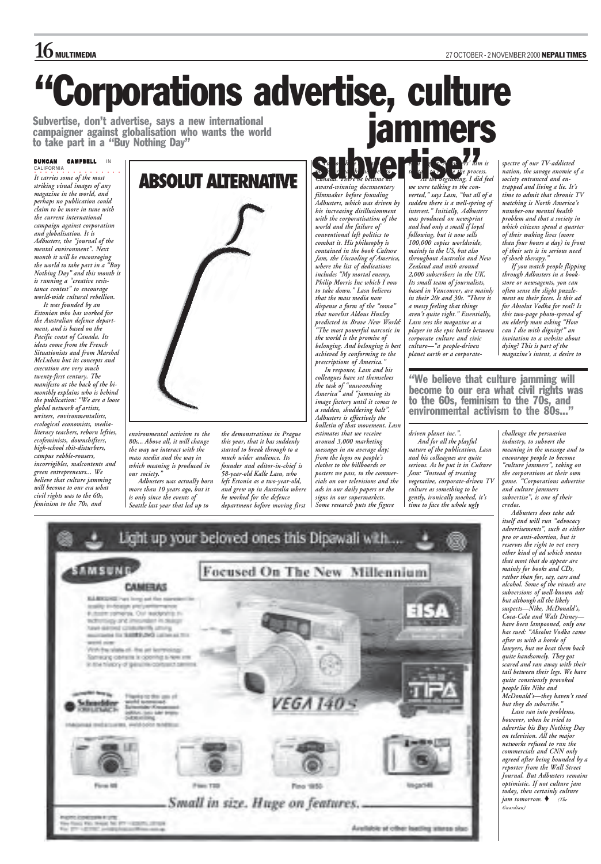# **16** MULTIMEDIA 27 OCTOBER - 2 NOVEMBER 2000 NEPALI TIMES

# **"Corporations advertise, culture**<br>
Subvertise, don't advertise, says a new international<br>to take part in a "Buy Nothing Day"<br> **Expression of the motion of the motion of the motion of the motion of the motion of the motion**

#### DUNCAN CAMPBELL IN

CALIFORNIA . . . . . . . . . It carries some of the most striking visual images of any magazine in the world, and perhaps no publication could claim to be more in tune with the current international campaign against corporatism and globalisation. It is Adbusters, the "journal of the mental environment". Next month it will be encouraging the world to take part in a  $\overset{\circ}{a}Buv$ Nothing Day" and this month it is running a "creative resistance contest" to encourage world-wide cultural rebellion.

> environmental activism to the 80s... Above all, it will change the way we interact with the mass media and the way in which meaning is produced in our society.'

It was founded by an Estonian who has worked for the Australian defence department, and is based on the Pacific coast of Canada. Its ideas come from the French Situationists and from Marshal McLuhan but its concepts and execution are very much twenty-first century. The manifesto at the back of the bimonthly explains who is behind the publication: "We are a loose global network of artists, writers, environmentalists, ecological economists, medialiteracy teachers, reborn lefties, ecofeminists, downshifters, high-school shit-disturbers, campus rabble-rousers, incorrigibles, malcontents and green entrepreneurs... We believe that culture jamming will become to our era what civil rights was to the 60s, feminism to the 70s, and

![](_page_15_Picture_7.jpeg)

Ganada. There he became an award-winning documentary filmmaker before founding Adbusters, which was driven by his increasing disillusionment with the corporatisation of the world and the failure of conventional left politics to combat it. His philosophy is contained in the book Culture Jam, the Uncooling of America, where the list of dedications includes "My mortal enemy, Philip Morris Inc which I vow to take down." Lasn believes that the mass media now dispense a form of the "soma" that novelist Aldous Huxley predicted in Brave New World: "The most powerful narcotic in the world is the promise of belonging. And belonging is best achieved by conforming to the prescriptions of America."

 $\sim$   $\sigma$   $\sigma$   $\mu$  2  $\chi$   $\tau$ market research and the to

Adbusters was actually born more than 10 years ago, but it is only since the events of Seattle last year that led up to

the demonstrations in Prague this year, that it has suddenly started to break through to a much wider audience. Its founder and editor-in-chief is 58-year-old Kalle Lasn, who left Estonia as a two-year-old, and grew up in Australia where he worked for the defence department before moving first

Subvertise, don't advertise, says a new international campaigner against globalisation who wants the world to take part in a "Buy Nothing Day"

> to ta to refige process. At the beginning, I did feel we were talking to the converted," says Lasn, "but all of a sudden there is a well-spring of interest." Initially, Adbusters was produced on newsprint and had only a small if loyal following, but it now sells 100,000 copies worldwide, mainly in the US, but also throughout Australia and New Zealand and with around 2,000 subscribers in the UK. Its small team of journalists, based in Vancouver, are mainly in their 20s and 30s. "There is a messy feeling that things aren't quite right." Essentially, Lasn sees the magazine as a player in the epic battle between corporate culture and civic culture—"a people-driven planet earth or a corporate-

In response, Lasn and his colleagues have set themselves the task of "unswooshing America" and "jamming its image factory until it comes to a sudden, shuddering halt". Adbusters is effectively the bulletin of that movement. Lasn estimates that we receive around 3,000 marketing messages in an average day; from the logos on people's clothes to the billboards or posters we pass, to the commercials on our televisions and the ads in our daily papers or the signs in our supermarkets. Some research puts the figure

even higher. Adbusters' aim is

driven planet inc.". And for all the playful nature of the publication, Lasn and his colleagues are quite serious. As he put it in Culture Jam: "Instead of treating vegetative, corporate-driven TV culture as something to be gently, ironically mocked, it's time to face the whole ugly

"We believe that culture jamming will become to our era what civil rights was to the 60s, feminism to the 70s, and environmental activism to the 80s..."

spectre of our TV-addicted nation, the savage anomie of a society entranced and entrapped and living a lie. It's time to admit that chronic TV watching is North America's number-one mental health problem and that a society in which citizens spend a quarter of their waking lives (more than four hours a day) in front of their sets is in serious need of shock therapy."

If you watch people flipping through Adbusters in a bookstore or newsagents, you can often sense the slight puzzlement on their faces. Is this ad for Absolut Vodka for real? Is this two-page photo-spread of an elderly man asking "How can I die with dignity?" an invitation to a website about dying? This is part of the magazine's intent, a desire to

challenge the persuasion industry, to subvert the meaning in the message and to encourage people to become "culture jammers", taking on the corporations at their own game. "Corporations advertise and culture jammers subvertise", is one of their credos.

Adbusters does take ads itself and will run "advocacy advertisements", such as either pro or anti-abortion, but it reserves the right to vet every other kind of ad which means that most that do appear are mainly for books and CDs, rather than for, say, cars and alcohol. Some of the visuals are subversions of well-known ads

![](_page_15_Picture_20.jpeg)

but although all the likely suspects—Nike, McDonald's, Coca-Cola and Walt Disney have been lampooned, only one has sued: "Absolut Vodka came after us with a horde of lawyers, but we beat them back quite handsomely. They got scared and ran away with their tail between their legs. We have quite consciously provoked people like Nike and McDonald's—they haven't sued but they do subscribe."

Lasn ran into problems, however, when he tried to advertise his Buy Nothing Day on television. All the major networks refused to run the commercials and CNN only agreed after being hounded by a reporter from the Wall Street Journal. But Adbusters remains optimistic. If not culture jam today, then certainly culture  $jam$  tomorrow.  $\blacklozenge$  (The Guardian)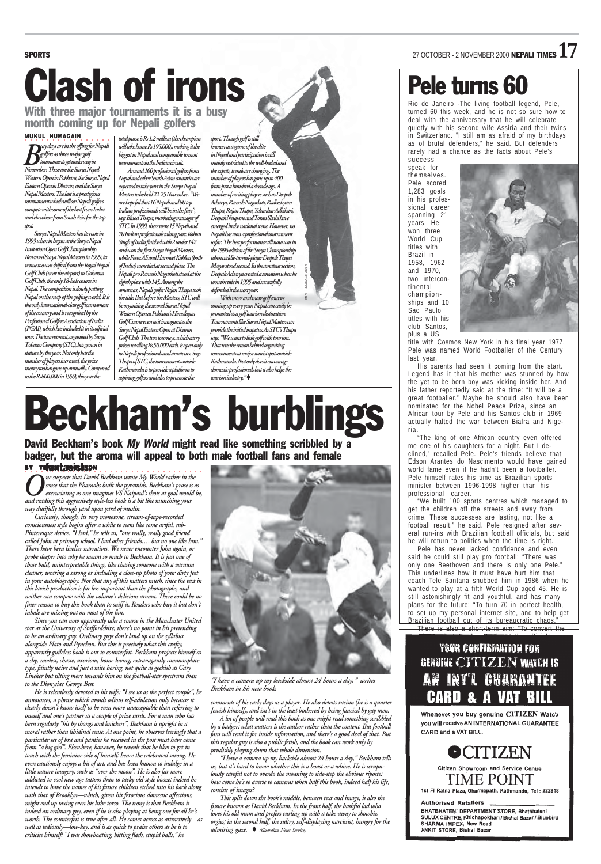## SPORTS 27 OCTOBER - 2 NOVEMBER 2000 NEPALI TIMES **17**

#### The suspects that David Beckham wrote My World rather in the Sense that the Pharaohs built the pyramids. Beckham's prose is excruciating as one imagines VS Naipaul's shots at goal would and reading this aggressively styleby t**efantasists**pn ○○○○○○○○○○○○○○○○○○ ○○○○○○○○○○○○○○○○ ne suspects that David Beckham wrote My World rather in the sense that the Pharaohs built the pyramids. Beckham's prose is as excruciating as one imagines VS Naipaul's shots at goal would be,

way dutifully through yard upon yard of muslin. Curiously, though, its very monotone, stream-of-tape-recorded consciousness style begins after a while to seem like some artful, sub-

Pinteresque device. "I had," he tells us, "one really, really good friend called John at primary school. I had other friends…. but no one like him." There have been livelier narratives. We never encounter John again, or probe deeper into why he meant so much to Beckham. It is just one of those bald, uninterpretable things, like chasing someone with a vacuum cleaner, wearing a sarong or including a close-up photo of your dirty feet in your autobiography. Not that any of this matters much, since the text in this lavish production is far less important than the photographs, and

![](_page_16_Picture_14.jpeg)

neither can compete with the volume's delicious aroma. There could be no finer reason to buy this book than to sniff it. Readers who buy it but don't inhale are missing out on most of the fun.

Since you can now apparently take a course in the Manchester United star at the University of Staffordshire, there's no point in his pretending to be an ordinary guy. Ordinary guys don't land up on the syllabus alongside Plato and Pynchon. But this is precisely what this crafty, apparently guileless book is out to counterfeit. Beckham projects himself as a shy, modest, chaste, uxorious, home-loving, extravagantly commonplace type, faintly naive and just a mite boring, not quite as geekish as Gary Lineker but tilting more towards him on the football-star spectrum than to the Dionysiac George Best.

David Beckham's book My World might read like something scribbled by a badger, but the aroma will appeal to both male football fans and female

> This split down the book's middle, between text and image, is also the fissure known as David Beckham. In the front half, the bashful lad who loves his old mum and prefers curling up with a take-away to showbiz orgies; in the second half, the sultry, self-displaying narcissist, hungry for the  $admiring$  gaze.  $\blacklozenge$  (Guardian News Service)

○○○○○○○○○○○○ ○○○○ usy days are in the offing for Nepali golfers as three major golf tournaments get underway in November. These are the Surya Nepal Western Open in Pokhara, the Surya Nepal Eastern Open in Dharan, and the Surya Nepal Masters. The last is a prestigious tournament which will see Nepali golfers compete with some of the best from India and elsewhere from South Asia for the top spot.  $B_{Novem}$ 

He is relentlessly devoted to his wife: "I see us as the perfect couple", he announces, a phrase which avoids odious self-adulation only because it clearly doesn't know itself to be even more unacceptable than referring to oneself and one's partner as a couple of prize turds. For a man who has been regularly "hit by thongs and knickers", Beckham is upright in a moral rather than libidinal sense. At one point, he observes leeringly that a particular set of bra and panties he received in the post must have come from "a big girl". Elsewhere, however, he reveals that he likes to get in touch with the feminine side of himself: hence the celebrated sarong. He even cautiously enjoys a bit of art, and has been known to indulge in a little nature imagery, such as "over the moon". He is also far more addicted to cool new-age tattoos than to tacky old-style booze; indeed he intends to have the names of his future children etched into his back along with that of Brooklyn—which, given his ferocious domestic affections, might end up taxing even his lithe torso. The irony is that Beckham is indeed an ordinary guy, even if he is also playing at being one for all he's worth. The counterfeit is true after all. He comes across as attractively—as well as tediously—low-key, and is as quick to praise others as he is to criticise himself: "I was showboating, hitting flash, stupid balls," he

# Beckham's burblings

comments of his early days as a player. He also detests racism (he is a quarter Jewish himself), and isn't in the least bothered by being fancied by gay men. A lot of people will read this book as one might read something scribbled by a badger: what matters is the author rather than the content. But football fans will read it for inside information, and there's a good deal of that. But this regular guy is also a public fetish, and the book can work only by prudishly playing down that whole dimension.

"I have a camera up my backside almost 24 hours a day," Beckham tells us, but it's hard to know whether this is a boast or a whine. He is scrupulously careful not to overdo the moaning to side-step the obvious riposte: how come he's so averse to cameras when half this book, indeed half his life, consists of images?

## Clash of irons With three major tournaments it is a busy month coming up for Nepali golfers

"I have a camera up my backside almost 24 hours a day," writes Beckham in his new book.

#### MUKUL HUMAGAIN

Surya Nepal Masters has its roots in 1993 when in began as the Surya Nepal Invitation Open Golf Championship. Renamed Surya Nepal Masters in 1999, its venue too was shifted from the Royal Nepal Golf Club (near the airport) to Gokarna Golf Club, the only 18-hole course in Nepal. The competition is slowly putting Nepal on the map of the golfing world. It is the only international-class golf tournament of the country and is recognised by the Professional Golfers Association of India (PGAI), which has included it in its official tour. The tournament, organised by Surya Tobacco Company (STC), has grown in stature by the year. Not only has the number of players increased, the prize money too has gone up annually. Compared to the Rs 800,000 in 1999, this year the

total purse is Rs 1.2 million (the champion will take home Rs 195,000), making it the biggest in Nepal and comparable to most tournaments in the Indian circuit.

Around 100 professional golfers from Nepal and other South Asian countries are expected to take part in the Surya Nepal Masters to be held 22-25 November. "We are hopeful that 16 Nepali and 80 top Indian professionals will be in the fray", says Binod Thapa, marketing manager of STC. In 1999, there were 15 Nepali and 70 Indian professionals taking part. Rohtas Singh of India finished with 2 under 142 and won the first Surya Nepal Masters, while Feroz Ali and Harmeet Kahlon (both of India) were tied at second place. The Nepali pro Ramesh Nagarkoti stood at the eighth place with 145. Among the amateurs, Nepali golfer Rajan Thapa took the title. But before the Masters, STC will be organising the second Surya Nepal Western Open at Pokhara's Himalayan Golf Course even as it inaugurates the Surya Nepal Eastern Open at Dharan Golf Club. The two tourneys, which carry prizes totalling Rs 50,000 each, is open only to Nepali professionals and amateurs. Says Thapa of STC, the tournaments outside Kathmandu is to provide a platform to aspiring golfers and also to promote the

sport. Though golf is still known as a game of the elite in Nepal and participation is still mainly restricted to the well-heeled and the expats, trends are changing. The number of players has gone up to 400 from just a hundred a decade ago. A number of exciting players such as Deepak Acharya, Ramesh Nagarkoti, Radheshyam Thapa, Rajan Thapa, Yelambar Adhikari, Deepak Neupane and Toran Shahi have emerged in the national scene. However, no Nepali has won a professional tournament so far. The best performance till now was in the 1996 edition of the Surya Championship when caddie-turned-player Deepak Thapa Magar stood second. In the amateur section, Deepak Acharya created a sensation when he won the title in 1995 and successfully defended it the next year.

With more and more golf courses coming up every year, Nepal can easily be promoted as a golf tourism destination. Tournaments like Surya Nepal Masters can provide the initial impetus. As STC's Thapa says, "We want to link golf with tourism. That was the reason behind organising tournaments at major tourist spots outside Kathmandu. Not only does it encourage domestic professionals but it also helps the tourism industry."

Rio de Janeiro -The living football legend, Pele, turned 60 this week, and he is not so sure how to deal with the anniversary that he will celebrate quietly with his second wife Assiria and their twins in Switzerland. "I still am as afraid of my birthdays as of brutal defenders," he said. But defenders rarely had a chance as the facts about Pele's

success speak for themselves. Pele scored 1,283 goals in his professional career spanning 21 years. He won three World Cup titles with Brazil in 1958, 1962 and 1970, two intercontinental championships and 10 Sao Paulo titles with his club Santos, plus a US

![](_page_16_Picture_19.jpeg)

title with Cosmos New York in his final year 1977. Pele was named World Footballer of the Century last year.

His parents had seen it coming from the start. Legend has it that his mother was stunned by how the yet to be born boy was kicking inside her. And his father reportedly said at the time: "It will be a great footballer." Maybe he should also have been nominated for the Nobel Peace Prize, since an African tour by Pele and his Santos club in 1969 actually halted the war between Biafra and Nigeria.

"The king of one African country even offered me one of his daughters for a night. But I declined," recalled Pele. Pele's friends believe that Edson Arantes do Nascimento would have gained world fame even if he hadn't been a footballer. Pele himself rates his time as Brazilian sports minister between 1996-1998 higher than his professional career.

"We built 100 sports centres which managed to get the children off the streets and away from crime. These successes are lasting, not like a football result," he said. Pele resigned after several run-ins with Brazilian football officials, but said he will return to politics when the time is right.

Pele has never lacked confidence and even said he could still play pro football: "There was only one Beethoven and there is only one Pele." This underlines how it must have hurt him that coach Tele Santana snubbed him in 1986 when he wanted to play at a fifth World Cup aged 45. He is still astonishingly fit and youthful, and has many plans for the future: "To turn 70 in perfect health, to set up my personal internet site, and to help get Brazilian football out of its bureaucratic chaos.

There is also a short-term aim: "To convert the

penalty against Gordon Banks at the official

#### weiter farty farewell party not meet the state and the state all, and the state all, and the state all, and the Pele was also involved in what is arguably the finest goalkeeper save ever, when England's Banks dived to his right and knocked Pele's formidable header over the crossbar during a World Cup match in 1970 at Guadalajara, Mexico. (dpa) **CARD & A VAT BILL**

Whenever you buy genuine CITIZEN Watch **vou will receive AN INTERNATIONAL GUARANTEE CARD and a VAT BILL.** 

![](_page_16_Picture_35.jpeg)

Citizen Showroom and Service Centre TIME POINT

1st Fl Ratna Plaza, Dharmapath, Kathmandu, Tel: 222818

Authorised Retailers

BHATBHATENI DEPARTMENT STORE, Bhatbhateni SULUX CENTRE, Khichapokhari / Bishal Bazar / Bluebird SHARMA IMPEX, New Road **ANKIT STORE, Bishal Bazar** 

# Pele turns 60

MIN BAJRACHARYA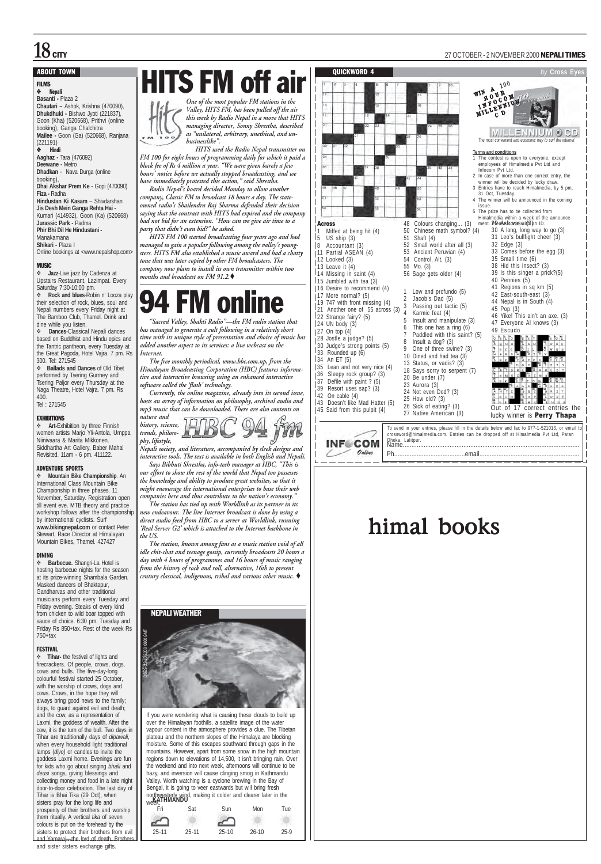#### ABOUT TOWN

To send in your entries, please fill in the details below and fax to 977-1-521013, or email to lucky winner is **Perry Thapa** 

43 Doesn't like Mad Hatter (5) 45 Said from this pulpit (4)

**INF**COM

Ouline

![](_page_17_Picture_30.jpeg)

Ph.........................................email..........................................................

Name...................................................................................................... Dhoka, Lalitpur.

crossword@himalmedia.com. Entries can be dropped off at Himalmedia Pvt Ltd, Patan

## himal books

|                | rö.                                                  | 700                                                                                    |
|----------------|------------------------------------------------------|----------------------------------------------------------------------------------------|
|                | WIN A                                                | ROUR                                                                                   |
|                |                                                      | ine with<br>MILLENNIUM OF                                                              |
|                |                                                      |                                                                                        |
| 20             |                                                      |                                                                                        |
|                |                                                      |                                                                                        |
| 28             | æ                                                    | The most convenient and economic way to surf the internet                              |
|                |                                                      |                                                                                        |
|                |                                                      | <b>Terms and conditions</b>                                                            |
|                |                                                      | 1 The contest is open to everyone, except<br>employees of Himalmedia Pvt Ltd and       |
|                | 40                                                   | Infocom Pvt Ltd.                                                                       |
| 48             | 4                                                    | 2 In case of more than one correct entry, the<br>winner will be decided by lucky draw. |
|                | 50                                                   | 3 Entries have to reach Himalmedia, by 5 pm,                                           |
|                | 53                                                   | 31 Oct, Tuesday.                                                                       |
|                | issue.                                               | 4 The winner will be announced in the coming                                           |
|                | 河                                                    | 5 The prize has to be collected from                                                   |
| 48             | Colours changing (3)                                 | Himalmedia within a week of the announce-<br>ment. 2PbleaAsShcowhaaSo⊌it(h3)an ID.     |
| 50             | Chinese math symbol? (4)                             | 30 A long, long way to go (3)                                                          |
| 51             | Shaft (4)                                            | 31 Leo's bullfight cheer (3)                                                           |
|                | 52 Small world after all (3)                         | 32 Edge (3)                                                                            |
|                | 53 Ancient Peruvian (4)                              | 33 Comes before the egg (3)                                                            |
|                | 54 Control, Alt, (3)                                 | 35 Small time (6)                                                                      |
| 55             | Mo. (3)                                              | 38 Hid this insect? (3)<br>39 Is this singer a prick?(5)                               |
|                | 56 Sage gets older (4)                               | 40 Pennies (5)                                                                         |
|                |                                                      | 41 Regions in sq km (5)                                                                |
| 1              | Low and profundo (5)                                 | 42 East-south-east (3)                                                                 |
| 2<br>3         | Jacob's Dad (5)                                      | 44 Nepal is in South (4)                                                               |
| 4              | Passing out tactic (5)<br>Karmic feat (4)            | 45 Pop (3)                                                                             |
| 5              | Insult and manipulate (3)                            | 46 Yike! This ain't an axe. (3)                                                        |
| 6              | This one has a ring (6)                              | 47 Everyone Al knows (3)<br>49 Escudo                                                  |
| $\overline{7}$ | Paddled with this saint? (5)                         |                                                                                        |
| 8              | Insult a dog? $(3)$                                  | N)                                                                                     |
| 9              | One of three swine? (3)                              |                                                                                        |
|                | 10 Dined and had tea (3)<br>13 Status, or vadis? (3) |                                                                                        |
|                | 18 Says sorry to serpent (7)                         |                                                                                        |
|                | 20 Be under (7)                                      |                                                                                        |
|                | 23 Aurora (3)                                        | а.<br>温.                                                                               |
|                | 24 Not even Dod? (3)                                 |                                                                                        |
|                | 25 How old? (3)                                      |                                                                                        |
|                | 26 Sick of eating? (3)                               | Out of 17<br>correct entries the                                                       |
|                | 27 Native American (3)                               | lucky winner is Perry Thana                                                            |

**\*** Rock and blues-Robin n' Looza play their selection of rock, blues, soul and Nepali numbers every Friday night at The Bamboo Club, Thamel. Drink and dine while you listen.

 $\div$  Dances-Classical Nepali dances based on Buddhist and Hindu epics and the Tantric pantheon, every Tuesday at the Great Pagoda, Hotel Vajra. 7 pm. Rs 300. Tel: 271545

**Art-Exhibition by three Finnish** women artists Marjo Yli-Antola, Umppa Niinivaara & Marita Mikkonen. Siddhartha Art Gallery, Baber Mahal Revisited. 11am - 6 pm. 411122.

 $\div$  Barbecue. Shangri-La Hotel is hosting barbecue nights for the season at its prize-winning Shambala Garden. Masked dancers of Bhaktapur, Gandharvas and other traditional

# QUICKWORD 4 by **Cross Eyes**

![](_page_17_Picture_41.jpeg)

![](_page_17_Picture_39.jpeg)

#### NEPALI WEATHER

![](_page_17_Picture_16.jpeg)

#### Nepali

sisters to protect their brothers from evil  $\frac{1}{1}$ and Yamaraj—the lord of death. Brothers  $\div$  **Tihar-** the festival of lights and firecrackers. Of people, crows, dogs, cows and bulls. The five-day-long colourful festival started 25 October, with the worship of crows, dogs and cows. Crows, in the hope they will always bring good news to the family; dogs, to guard against evil and death; and the cow, as a representation of Laxmi, the goddess of wealth. After the cow, it is the turn of the bull. Two days in Tihar are traditionally days of dipawali, when every household light traditional lamps (diyo) or candles to invite the goddess Laxmi home. Evenings are fun for kids who go about singing bhaili and deusi songs, giving blessings and collecting money and food in a late night door-to-door celebration. The last day of Tihar is Bhai Tika (29 Oct), when sisters pray for the long life and prosperity of their brothers and worship them ritually. A vertical tika of seven colours is put on the forehead by the and sister sisters exchange gifts.

**Basanti -** Plaza 2 **Chautari –** Ashok, Krishna (470090), **Dhukdhuki -** Bishwo Jyoti (221837), Goon (Kha) (520668), Prithvi (online booking), Ganga Chalchitra **Mailee -** Goon (Ga) (520668), Ranjana (221191)  $\diamond$  Hindi **Aaghaz -** Tara (476092) **Deewane -** Metro **Dhadkan** - Nava Durga (online booking) **Dhai Akshar Prem Ke - Gopi (470090) Fiza -** Radha **Hindustan Ki Kasam** – Shivdarshan **Jis Desh Mein Ganga Rehta Hai -** Kumari (414932), Goon (Ka) (520668) **Jurassic Park -** Padma **Phir Bhi Dil He Hindustani -** Manakamana **Shikari -** Plaza I Online bookings at <www.nepalshop.com>

#### **MUSIC**

northwesterly wind, making it colder and clearer later in the<br>we**SATHMANDU** If you were wondering what is causing these clouds to build up over the Himalayan foothills, a satellite image of the water vapour content in the atmosphere provides a clue. The Tibetan plateau and the northern slopes of the Himalaya are blocking moisture. Some of this escapes southward through gaps in the mountains. However, apart from some snow in the high mountain regions down to elevations of 14,500, it isn't bringing rain. Over the weekend and into next week, afternoons will continue to be hazy, and inversion will cause clinging smog in Kathmandu Valley. Worth watching is a cyclone brewing in the Bay of Bengal, it is going to veer eastwards but will bring fresh week.

 **Jazz**-Live jazz by Cadenza at Upstairs Restaurant, Lazimpat. Every Saturday 7:30-10:00 pm.

 **Ballads and Dances** of Old Tibet performed by Tsering Gurmey and Tsering Paljor every Thursday at the Naga Theatre, Hotel Vajra. 7 pm. Rs 400.

Tel : 271545

#### **EXHIBITIONS**

#### ADVENTURE SPORTS

 **Mountain Bike Championship**. An International Class Mountain Bike Championship in three phases. 11 November, Saturday. Registration open till event eve. MTB theory and practice workshop follows after the championship by international cyclists. Surf **www.bikingnepal.com** or contact Peter Stewart, Race Director at Himalayan Mountain Bikes, Thamel. 427427

#### DINING

The station, known among fans as a music station void of all idle chit-chat and teenage gossip, currently broadcasts 20 hours a day with 4 hours of programmes and 16 hours of music ranging from the history of rock and roll, alternative, 16th to present century classical, indigenous, tribal and various other music.  $\blacklozenge$ 

musicians perform every Tuesday and Friday evening. Steaks of every kind from chicken to wild boar topped with sauce of choice. 6:30 pm. Tuesday and Friday Rs 850+tax. Rest of the week Rs 750+tax

#### FESTIVAL

One of the most popular FM stations in the Valley, HITS FM, has been pulled off the air this week by Radio Nepal in a move that HITS managing director, Sonny Shrestha, described as "unilateral, arbitrary, unethical, and unbusinesslike".

HITS used the Radio Nepal transmitter on FM 100 for eight hours of programming daily for which it paid a block fee of Rs 4 million a year. "We were given barely a few hours' notice before we actually stopped broadcasting, and we have immediately protested this action," said Shrestha.

Radio Nepal's board decided Monday to allow another company, Classic FM to broadcast 18 hours a day. The stateowned radio's Shailendra Raj Sharma defended their decision saying that the contract with HITS had expired and the company had not bid for an extension. "How can we give air time to a party that didn't even bid?" he asked.

HITS FM 100 started broadcasting four years ago and had managed to gain a popular following among the valley's youngsters. HITS FM also established a music award and had a chatty tone that was later copied by other FM broadcasters. The company now plans to install its own transmitter within two months and broadcast on FM 91.2.

"Sacred Valley, Shakti Radio"—the FM radio station that has managed to generate a cult following in a relatively short time with its unique style of presentation and choice of music has added another aspect to its services: a live webcast on the Internet.

The free monthly periodical, www.hbc.com.np, from the Himalayan Broadcasting Corporation (HBC) features informative and interactive browsing using an enhanced interactive software called the 'flash' technology.

Currently, the online magazine, already into its second issue, hosts an array of information on philosophy, archival audio and mp3 music that can be downloaded. There are also contents on

![](_page_17_Picture_25.jpeg)

Nepali society, and literature, accompanied by sleek designs and interactive tools. The text is available in both English and Nepali.

Says Bibhuti Shrestha, info-tech manager at HBC, "This is our effort to show the rest of the world that Nepal too possesses the knowledge and ability to produce great websites, so that it might encourage the international enterprises to base their web companies here and thus contribute to the nation's economy."

The station has tied up with Worldlink as its partner in its new endeavour. The live Internet broadcast is done by using a direct audio feed from HBC to a server at Worldlink, running 'Real Server G2' which is attached to the Internet backbone in the US.

# 94 FM online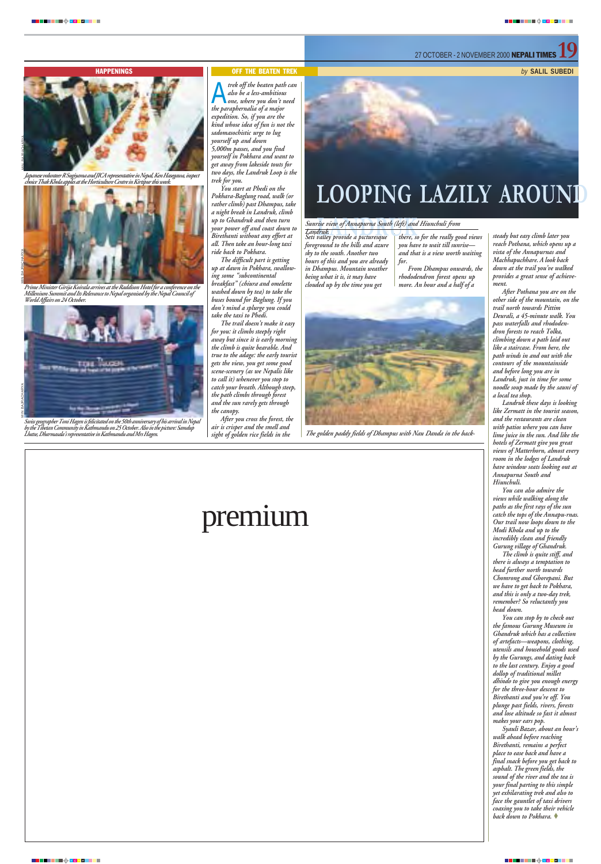27 OCTOBER - 2 NOVEMBER 2000 NEPALI TIMES **19**

# **HAPPENINGS** MIN BAJRACHARYA

![](_page_18_Picture_7.jpeg)

Swiss geographer Toni Hagen is felicitated on the 50th anniversary of his arrival in Nepal by the Tibetan Community in Kathmandu on 25 October. Also in the picture: Samdup Lhatse, Dharmasala's representative in Kathmandu and Mrs Hagen.

#### **OFF THE BEATEN TREK by SALIL SUBEDI**

trek off the beaten path can also be a less-ambitious **L**one, where you don't need trek off the beaten pation<br>also be a less-ambitiou<br>one, where you don't the<br>the paraphernalia of a major expedition. So, if you are the kind whose idea of fun is not the sadomasochistic urge to lug yourself up and down 5,000m passes, and you find yourself in Pokhara and want to get away from lakeside touts for two days, the Landruk Loop is the trek for you.

You start at Phedi on the Pokhara-Baglung road, walk (or rather climb) past Dhampus, take a night break in Landruk, climb up to Ghandruk and then turn your power off and coast down to Birethanti without any effort at all. Then take an hour-long taxi ride back to Pokhara.

The difficult part is getting up at dawn in Pokhara, swallowing some "subcontinental breakfast" (chiura and omelette washed down by tea) to take the buses bound for Baglung. If you don't mind a splurge you could take the taxi to Phedi.

Japanese volunteer R Sugiyama and JICA representative in Nepal, Ken Hasegawa, inspect choice Thak Khola apples at the Horticulture Centre in Kirtipur this week.

![](_page_18_Picture_5.jpeg)

Prime Minister Girija Koirala arrives at the Raddison Hotel for a conference on the Millenium Summit and Its Relevance to Nepal organised by the Nepal Council of World Affairs on 24 October.

The trail doesn't make it easy for you: it climbs steeply right away but since it is early morning the climb is quite bearable. And true to the adage: the early tourist gets the view, you get some good scene-scenery (as we Nepalis like to call it) whenever you stop to catch your breath. Although steep, the path climbs through forest and the sun rarely gets through the canopy.

After you cross the forest, the air is crisper and the smell and sight of golden rice fields in the

![](_page_18_Picture_15.jpeg)

The climb is quite stiff, and there is always a temptation to head further north towards Chomrong and Ghorepani. But we have to get back to Pokhara, and this is only a two-day trek, remember? So reluctantly you head down. You can stop by to check out the famous Gurung Museum in Ghandruk which has a collection of artefacts—weapons, clothing, utensils and household goods used by the Gurungs, and dating back to the last century. Enjoy a good dollop of traditional millet dhindo to give you enough energy for the three-hour descent to Birethanti and you're off. You plunge past fields, rivers, forests and lose altitude so fast it almost makes your ears pop. Syauli Bazar, about an hour's walk ahead before reaching Birethanti, remains a perfect place to ease back and have a final snack before you get back to asphalt. The green fields, the sound of the river and the tea is your final parting to this simple yet exhilarating trek and also to face the gauntlet of taxi drivers coaxing you to take their vehicle back down to Pokhara.

there, so for the really good views you have to wait till sunrise and that is a view worth waiting for.

From Dhampus onwards, the rhododendron forest opens up more. An hour and a half of a

Sunrise view of Annapurna South (left) and<br>Landruk.<br>Seti valley provide a picturesque <sup>i</sup>there, s foreground to the hills and azure sky to the south. Another two hours of this and you are already in Dhampus. Mountain weather being what it is, it may have clouded up by the time you get Landruk.

# **LOOPING LAZILY AROUND**

![](_page_18_Picture_29.jpeg)

![](_page_18_Picture_30.jpeg)

![](_page_18_Picture_31.jpeg)

#### steady but easy climb later you reach Pothana, which opens up a vista of the Annapurnas and Machhapuchhare. A look back

down at the trail you've walked provides a great sense of achievement.

After Pothana you are on the other side of the mountain, on the trail north towards Pittim Deurali, a 45-minute walk. You pass waterfalls and rhododendron forests to reach Tolka, climbing down a path laid out like a staircase. From here, the path winds in and out with the contours of the mountainside and before long you are in Landruk, just in time for some noodle soup made by the sauni of a local tea shop.

Landruk these days is looking like Zermatt in the tourist season, and the restaurants are clean with patios where you can have lime juice in the sun. And like the hotels of Zermatt give you great views of Matterhorn, almost every room in the lodges of Landruk have window seats looking out at Annapurna South and Hiunchuli.

You can also admire the views while walking along the paths as the first rays of the sun catch the tops of the Annapu-rnas. Our trail now loops down to the Modi Khola and up to the incredibly clean and friendly Gurung village of Ghandruk.

#### Sunrise view of Annapurna South (left) and Hiunchuli from

![](_page_18_Picture_21.jpeg)

The golden paddy fields of Dhampus with Nau Danda in the back-